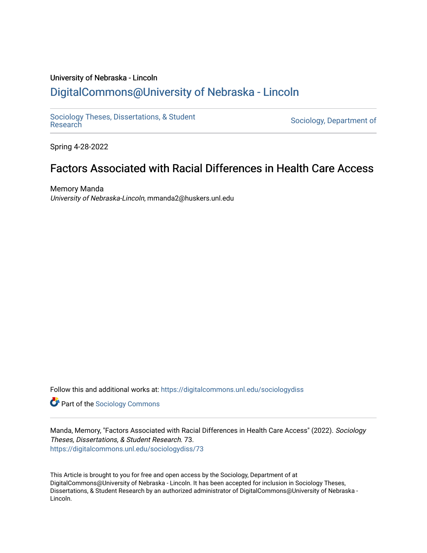## University of Nebraska - Lincoln [DigitalCommons@University of Nebraska - Lincoln](https://digitalcommons.unl.edu/)

[Sociology Theses, Dissertations, & Student](https://digitalcommons.unl.edu/sociologydiss)

Sociology, Department of

Spring 4-28-2022

# Factors Associated with Racial Differences in Health Care Access

Memory Manda University of Nebraska-Lincoln, mmanda2@huskers.unl.edu

Follow this and additional works at: [https://digitalcommons.unl.edu/sociologydiss](https://digitalcommons.unl.edu/sociologydiss?utm_source=digitalcommons.unl.edu%2Fsociologydiss%2F73&utm_medium=PDF&utm_campaign=PDFCoverPages) 

**Part of the [Sociology Commons](http://network.bepress.com/hgg/discipline/416?utm_source=digitalcommons.unl.edu%2Fsociologydiss%2F73&utm_medium=PDF&utm_campaign=PDFCoverPages)** 

Manda, Memory, "Factors Associated with Racial Differences in Health Care Access" (2022). Sociology Theses, Dissertations, & Student Research. 73. [https://digitalcommons.unl.edu/sociologydiss/73](https://digitalcommons.unl.edu/sociologydiss/73?utm_source=digitalcommons.unl.edu%2Fsociologydiss%2F73&utm_medium=PDF&utm_campaign=PDFCoverPages)

This Article is brought to you for free and open access by the Sociology, Department of at DigitalCommons@University of Nebraska - Lincoln. It has been accepted for inclusion in Sociology Theses, Dissertations, & Student Research by an authorized administrator of DigitalCommons@University of Nebraska - Lincoln.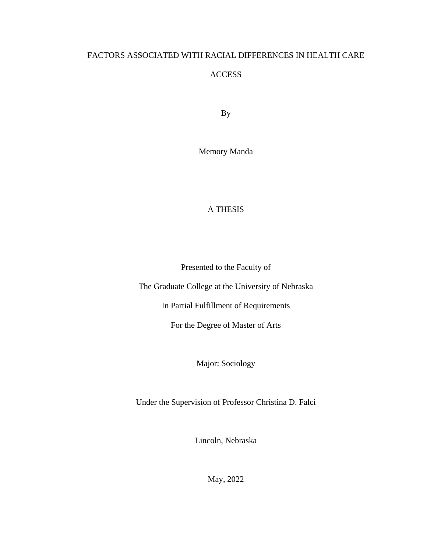## FACTORS ASSOCIATED WITH RACIAL DIFFERENCES IN HEALTH CARE

### ACCESS

By

Memory Manda

## A THESIS

Presented to the Faculty of

The Graduate College at the University of Nebraska

In Partial Fulfillment of Requirements

For the Degree of Master of Arts

Major: Sociology

Under the Supervision of Professor Christina D. Falci

Lincoln, Nebraska

May, 2022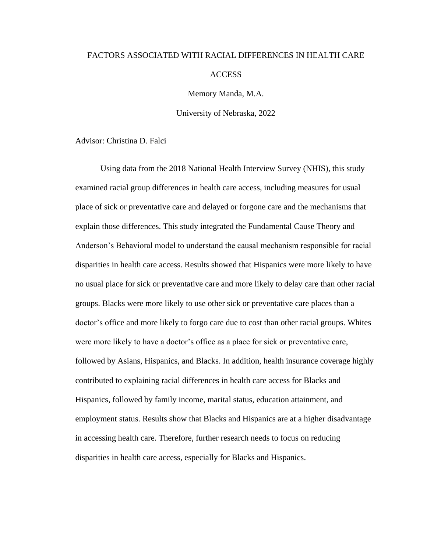# FACTORS ASSOCIATED WITH RACIAL DIFFERENCES IN HEALTH CARE ACCESS

Memory Manda, M.A.

University of Nebraska, 2022

Advisor: Christina D. Falci

Using data from the 2018 National Health Interview Survey (NHIS), this study examined racial group differences in health care access, including measures for usual place of sick or preventative care and delayed or forgone care and the mechanisms that explain those differences. This study integrated the Fundamental Cause Theory and Anderson's Behavioral model to understand the causal mechanism responsible for racial disparities in health care access. Results showed that Hispanics were more likely to have no usual place for sick or preventative care and more likely to delay care than other racial groups. Blacks were more likely to use other sick or preventative care places than a doctor's office and more likely to forgo care due to cost than other racial groups. Whites were more likely to have a doctor's office as a place for sick or preventative care, followed by Asians, Hispanics, and Blacks. In addition, health insurance coverage highly contributed to explaining racial differences in health care access for Blacks and Hispanics, followed by family income, marital status, education attainment, and employment status. Results show that Blacks and Hispanics are at a higher disadvantage in accessing health care. Therefore, further research needs to focus on reducing disparities in health care access, especially for Blacks and Hispanics.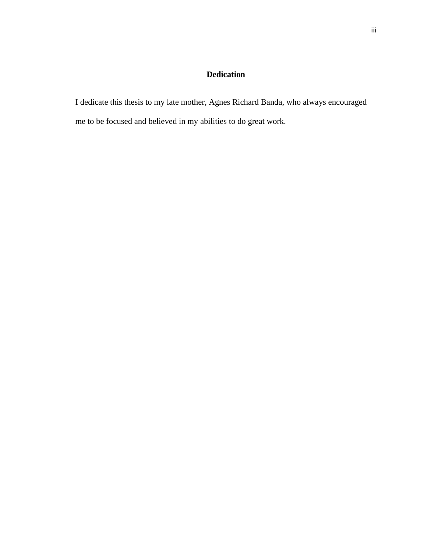## **Dedication**

I dedicate this thesis to my late mother, Agnes Richard Banda, who always encouraged me to be focused and believed in my abilities to do great work.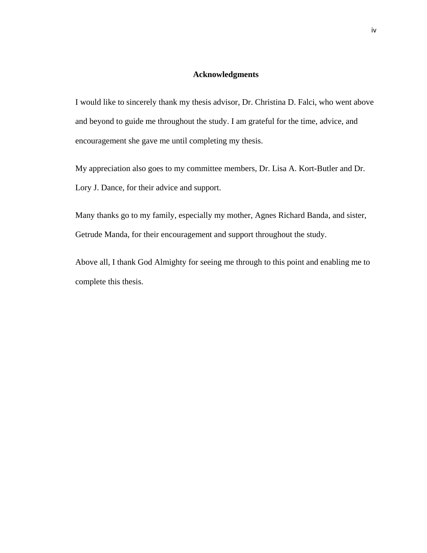#### **Acknowledgments**

I would like to sincerely thank my thesis advisor, Dr. Christina D. Falci, who went above and beyond to guide me throughout the study. I am grateful for the time, advice, and encouragement she gave me until completing my thesis.

My appreciation also goes to my committee members, Dr. Lisa A. Kort-Butler and Dr. Lory J. Dance, for their advice and support.

Many thanks go to my family, especially my mother, Agnes Richard Banda, and sister, Getrude Manda, for their encouragement and support throughout the study.

Above all, I thank God Almighty for seeing me through to this point and enabling me to complete this thesis.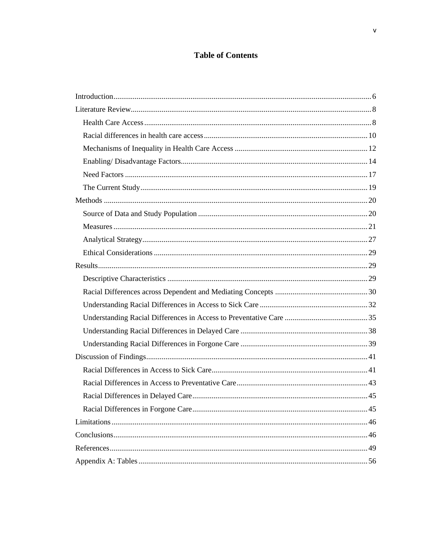## **Table of Contents**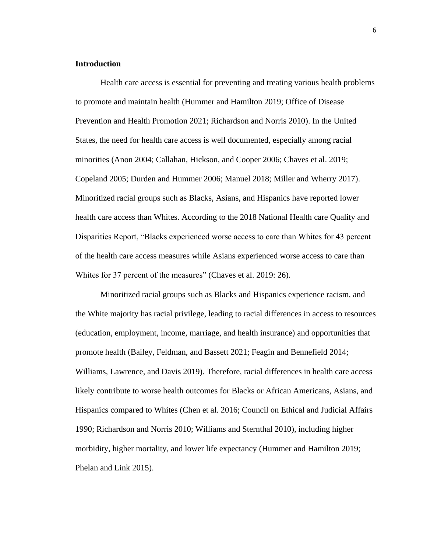#### <span id="page-6-0"></span>**Introduction**

Health care access is essential for preventing and treating various health problems to promote and maintain health (Hummer and Hamilton 2019; Office of Disease Prevention and Health Promotion 2021; Richardson and Norris 2010). In the United States, the need for health care access is well documented, especially among racial minorities (Anon 2004; Callahan, Hickson, and Cooper 2006; Chaves et al. 2019; Copeland 2005; Durden and Hummer 2006; Manuel 2018; Miller and Wherry 2017). Minoritized racial groups such as Blacks, Asians, and Hispanics have reported lower health care access than Whites. According to the 2018 National Health care Quality and Disparities Report, "Blacks experienced worse access to care than Whites for 43 percent of the health care access measures while Asians experienced worse access to care than Whites for 37 percent of the measures" (Chaves et al. 2019: 26).

Minoritized racial groups such as Blacks and Hispanics experience racism, and the White majority has racial privilege, leading to racial differences in access to resources (education, employment, income, marriage, and health insurance) and opportunities that promote health (Bailey, Feldman, and Bassett 2021; Feagin and Bennefield 2014; Williams, Lawrence, and Davis 2019). Therefore, racial differences in health care access likely contribute to worse health outcomes for Blacks or African Americans, Asians, and Hispanics compared to Whites (Chen et al. 2016; Council on Ethical and Judicial Affairs 1990; Richardson and Norris 2010; Williams and Sternthal 2010), including higher morbidity, higher mortality, and lower life expectancy (Hummer and Hamilton 2019; Phelan and Link 2015).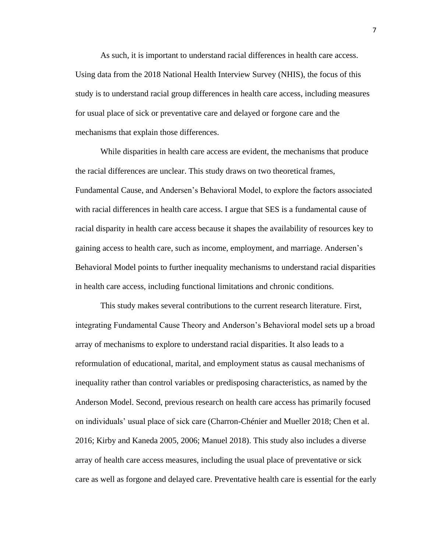As such, it is important to understand racial differences in health care access. Using data from the 2018 National Health Interview Survey (NHIS), the focus of this study is to understand racial group differences in health care access, including measures for usual place of sick or preventative care and delayed or forgone care and the mechanisms that explain those differences.

While disparities in health care access are evident, the mechanisms that produce the racial differences are unclear. This study draws on two theoretical frames, Fundamental Cause, and Andersen's Behavioral Model, to explore the factors associated with racial differences in health care access. I argue that SES is a fundamental cause of racial disparity in health care access because it shapes the availability of resources key to gaining access to health care, such as income, employment, and marriage. Andersen's Behavioral Model points to further inequality mechanisms to understand racial disparities in health care access, including functional limitations and chronic conditions.

This study makes several contributions to the current research literature. First, integrating Fundamental Cause Theory and Anderson's Behavioral model sets up a broad array of mechanisms to explore to understand racial disparities. It also leads to a reformulation of educational, marital, and employment status as causal mechanisms of inequality rather than control variables or predisposing characteristics, as named by the Anderson Model. Second, previous research on health care access has primarily focused on individuals' usual place of sick care (Charron-Chénier and Mueller 2018; Chen et al. 2016; Kirby and Kaneda 2005, 2006; Manuel 2018). This study also includes a diverse array of health care access measures, including the usual place of preventative or sick care as well as forgone and delayed care. Preventative health care is essential for the early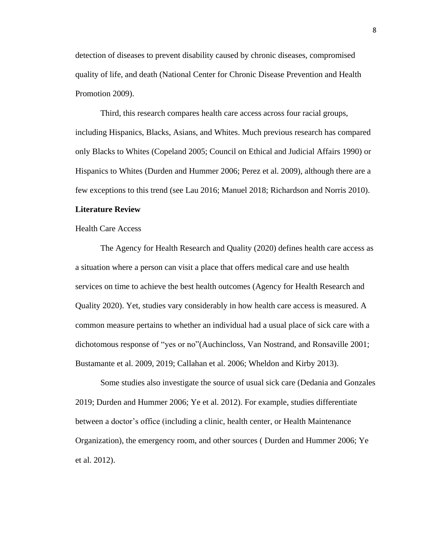detection of diseases to prevent disability caused by chronic diseases, compromised quality of life, and death (National Center for Chronic Disease Prevention and Health Promotion 2009).

Third, this research compares health care access across four racial groups, including Hispanics, Blacks, Asians, and Whites. Much previous research has compared only Blacks to Whites (Copeland 2005; Council on Ethical and Judicial Affairs 1990) or Hispanics to Whites (Durden and Hummer 2006; Perez et al. 2009), although there are a few exceptions to this trend (see Lau 2016; Manuel 2018; Richardson and Norris 2010).

#### <span id="page-8-0"></span>**Literature Review**

<span id="page-8-1"></span>Health Care Access

The Agency for Health Research and Quality (2020) defines health care access as a situation where a person can visit a place that offers medical care and use health services on time to achieve the best health outcomes (Agency for Health Research and Quality 2020). Yet, studies vary considerably in how health care access is measured. A common measure pertains to whether an individual had a usual place of sick care with a dichotomous response of "yes or no"(Auchincloss, Van Nostrand, and Ronsaville 2001; Bustamante et al. 2009, 2019; Callahan et al. 2006; Wheldon and Kirby 2013).

Some studies also investigate the source of usual sick care (Dedania and Gonzales 2019; Durden and Hummer 2006; Ye et al. 2012). For example, studies differentiate between a doctor's office (including a clinic, health center, or Health Maintenance Organization), the emergency room, and other sources ( Durden and Hummer 2006; Ye et al. 2012).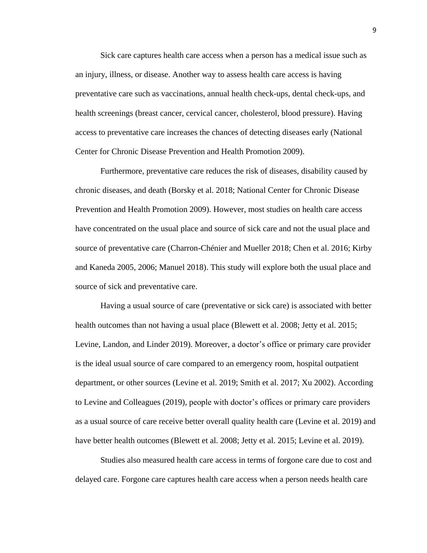Sick care captures health care access when a person has a medical issue such as an injury, illness, or disease. Another way to assess health care access is having preventative care such as vaccinations, annual health check-ups, dental check-ups, and health screenings (breast cancer, cervical cancer, cholesterol, blood pressure). Having access to preventative care increases the chances of detecting diseases early (National Center for Chronic Disease Prevention and Health Promotion 2009).

Furthermore, preventative care reduces the risk of diseases, disability caused by chronic diseases, and death (Borsky et al. 2018; National Center for Chronic Disease Prevention and Health Promotion 2009). However, most studies on health care access have concentrated on the usual place and source of sick care and not the usual place and source of preventative care (Charron-Chénier and Mueller 2018; Chen et al. 2016; Kirby and Kaneda 2005, 2006; Manuel 2018). This study will explore both the usual place and source of sick and preventative care.

Having a usual source of care (preventative or sick care) is associated with better health outcomes than not having a usual place (Blewett et al. 2008; Jetty et al. 2015; Levine, Landon, and Linder 2019). Moreover, a doctor's office or primary care provider is the ideal usual source of care compared to an emergency room, hospital outpatient department, or other sources (Levine et al. 2019; Smith et al. 2017; Xu 2002). According to Levine and Colleagues (2019), people with doctor's offices or primary care providers as a usual source of care receive better overall quality health care (Levine et al. 2019) and have better health outcomes (Blewett et al. 2008; Jetty et al. 2015; Levine et al. 2019).

Studies also measured health care access in terms of forgone care due to cost and delayed care. Forgone care captures health care access when a person needs health care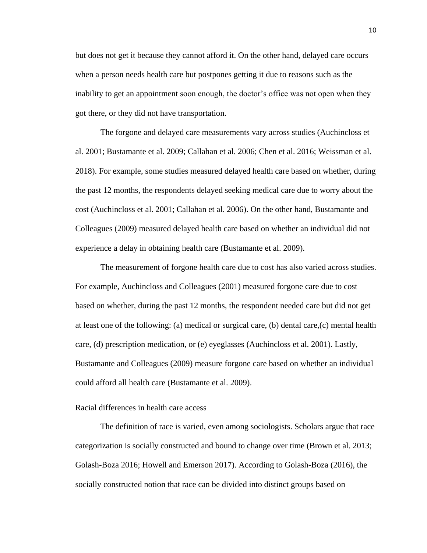but does not get it because they cannot afford it. On the other hand, delayed care occurs when a person needs health care but postpones getting it due to reasons such as the inability to get an appointment soon enough, the doctor's office was not open when they got there, or they did not have transportation.

The forgone and delayed care measurements vary across studies (Auchincloss et al. 2001; Bustamante et al. 2009; Callahan et al. 2006; Chen et al. 2016; Weissman et al. 2018). For example, some studies measured delayed health care based on whether, during the past 12 months, the respondents delayed seeking medical care due to worry about the cost (Auchincloss et al. 2001; Callahan et al. 2006). On the other hand, Bustamante and Colleagues (2009) measured delayed health care based on whether an individual did not experience a delay in obtaining health care (Bustamante et al. 2009).

The measurement of forgone health care due to cost has also varied across studies. For example, Auchincloss and Colleagues (2001) measured forgone care due to cost based on whether, during the past 12 months, the respondent needed care but did not get at least one of the following: (a) medical or surgical care, (b) dental care,(c) mental health care, (d) prescription medication, or (e) eyeglasses (Auchincloss et al. 2001). Lastly, Bustamante and Colleagues (2009) measure forgone care based on whether an individual could afford all health care (Bustamante et al. 2009).

#### <span id="page-10-0"></span>Racial differences in health care access

The definition of race is varied, even among sociologists. Scholars argue that race categorization is socially constructed and bound to change over time (Brown et al. 2013; Golash-Boza 2016; Howell and Emerson 2017). According to Golash-Boza (2016), the socially constructed notion that race can be divided into distinct groups based on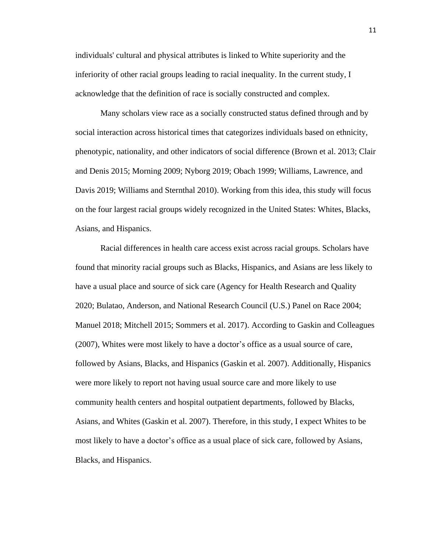individuals' cultural and physical attributes is linked to White superiority and the inferiority of other racial groups leading to racial inequality. In the current study, I acknowledge that the definition of race is socially constructed and complex.

Many scholars view race as a socially constructed status defined through and by social interaction across historical times that categorizes individuals based on ethnicity, phenotypic, nationality, and other indicators of social difference (Brown et al. 2013; Clair and Denis 2015; Morning 2009; Nyborg 2019; Obach 1999; Williams, Lawrence, and Davis 2019; Williams and Sternthal 2010). Working from this idea, this study will focus on the four largest racial groups widely recognized in the United States: Whites, Blacks, Asians, and Hispanics.

Racial differences in health care access exist across racial groups. Scholars have found that minority racial groups such as Blacks, Hispanics, and Asians are less likely to have a usual place and source of sick care (Agency for Health Research and Quality 2020; Bulatao, Anderson, and National Research Council (U.S.) Panel on Race 2004; Manuel 2018; Mitchell 2015; Sommers et al. 2017). According to Gaskin and Colleagues (2007), Whites were most likely to have a doctor's office as a usual source of care, followed by Asians, Blacks, and Hispanics (Gaskin et al. 2007). Additionally, Hispanics were more likely to report not having usual source care and more likely to use community health centers and hospital outpatient departments, followed by Blacks, Asians, and Whites (Gaskin et al. 2007). Therefore, in this study, I expect Whites to be most likely to have a doctor's office as a usual place of sick care, followed by Asians, Blacks, and Hispanics.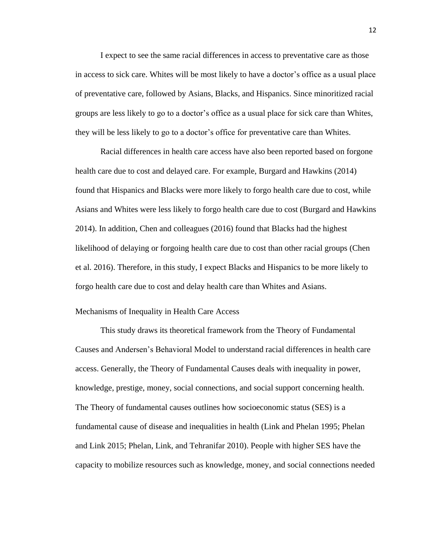I expect to see the same racial differences in access to preventative care as those in access to sick care. Whites will be most likely to have a doctor's office as a usual place of preventative care, followed by Asians, Blacks, and Hispanics. Since minoritized racial groups are less likely to go to a doctor's office as a usual place for sick care than Whites, they will be less likely to go to a doctor's office for preventative care than Whites.

Racial differences in health care access have also been reported based on forgone health care due to cost and delayed care. For example, Burgard and Hawkins (2014) found that Hispanics and Blacks were more likely to forgo health care due to cost, while Asians and Whites were less likely to forgo health care due to cost (Burgard and Hawkins 2014). In addition, Chen and colleagues (2016) found that Blacks had the highest likelihood of delaying or forgoing health care due to cost than other racial groups (Chen et al. 2016). Therefore, in this study, I expect Blacks and Hispanics to be more likely to forgo health care due to cost and delay health care than Whites and Asians.

#### <span id="page-12-0"></span>Mechanisms of Inequality in Health Care Access

This study draws its theoretical framework from the Theory of Fundamental Causes and Andersen's Behavioral Model to understand racial differences in health care access. Generally, the Theory of Fundamental Causes deals with inequality in power, knowledge, prestige, money, social connections, and social support concerning health. The Theory of fundamental causes outlines how socioeconomic status (SES) is a fundamental cause of disease and inequalities in health (Link and Phelan 1995; Phelan and Link 2015; Phelan, Link, and Tehranifar 2010). People with higher SES have the capacity to mobilize resources such as knowledge, money, and social connections needed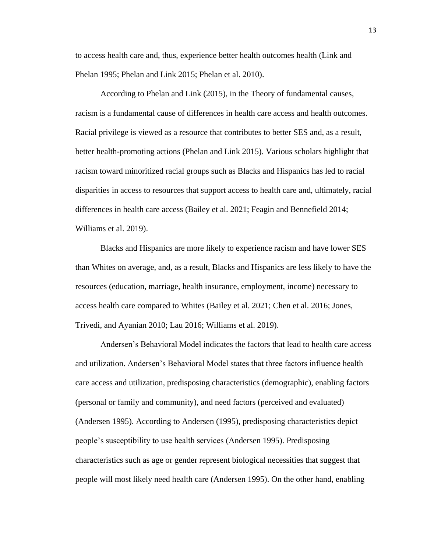to access health care and, thus, experience better health outcomes health (Link and Phelan 1995; Phelan and Link 2015; Phelan et al. 2010).

According to Phelan and Link (2015), in the Theory of fundamental causes, racism is a fundamental cause of differences in health care access and health outcomes. Racial privilege is viewed as a resource that contributes to better SES and, as a result, better health-promoting actions (Phelan and Link 2015). Various scholars highlight that racism toward minoritized racial groups such as Blacks and Hispanics has led to racial disparities in access to resources that support access to health care and, ultimately, racial differences in health care access (Bailey et al. 2021; Feagin and Bennefield 2014; Williams et al. 2019).

Blacks and Hispanics are more likely to experience racism and have lower SES than Whites on average, and, as a result, Blacks and Hispanics are less likely to have the resources (education, marriage, health insurance, employment, income) necessary to access health care compared to Whites (Bailey et al. 2021; Chen et al. 2016; Jones, Trivedi, and Ayanian 2010; Lau 2016; Williams et al. 2019).

Andersen's Behavioral Model indicates the factors that lead to health care access and utilization. Andersen's Behavioral Model states that three factors influence health care access and utilization, predisposing characteristics (demographic), enabling factors (personal or family and community), and need factors (perceived and evaluated) (Andersen 1995). According to Andersen (1995), predisposing characteristics depict people's susceptibility to use health services (Andersen 1995). Predisposing characteristics such as age or gender represent biological necessities that suggest that people will most likely need health care (Andersen 1995). On the other hand, enabling

13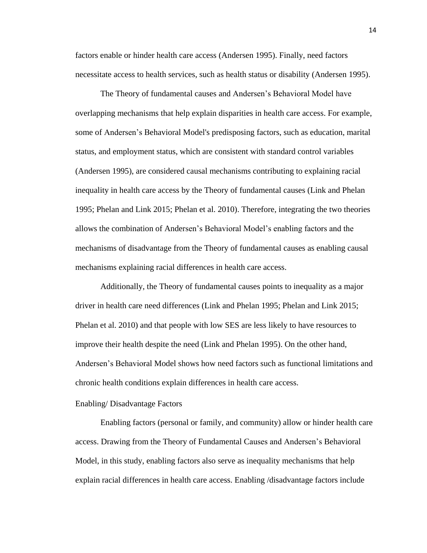factors enable or hinder health care access (Andersen 1995). Finally, need factors necessitate access to health services, such as health status or disability (Andersen 1995).

The Theory of fundamental causes and Andersen's Behavioral Model have overlapping mechanisms that help explain disparities in health care access. For example, some of Andersen's Behavioral Model's predisposing factors, such as education, marital status, and employment status, which are consistent with standard control variables (Andersen 1995), are considered causal mechanisms contributing to explaining racial inequality in health care access by the Theory of fundamental causes (Link and Phelan 1995; Phelan and Link 2015; Phelan et al. 2010). Therefore, integrating the two theories allows the combination of Andersen's Behavioral Model's enabling factors and the mechanisms of disadvantage from the Theory of fundamental causes as enabling causal mechanisms explaining racial differences in health care access.

Additionally, the Theory of fundamental causes points to inequality as a major driver in health care need differences (Link and Phelan 1995; Phelan and Link 2015; Phelan et al. 2010) and that people with low SES are less likely to have resources to improve their health despite the need (Link and Phelan 1995). On the other hand, Andersen's Behavioral Model shows how need factors such as functional limitations and chronic health conditions explain differences in health care access.

#### <span id="page-14-0"></span>Enabling/ Disadvantage Factors

Enabling factors (personal or family, and community) allow or hinder health care access. Drawing from the Theory of Fundamental Causes and Andersen's Behavioral Model, in this study, enabling factors also serve as inequality mechanisms that help explain racial differences in health care access. Enabling /disadvantage factors include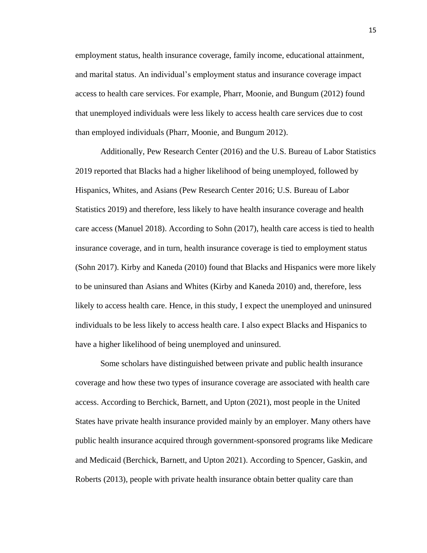employment status, health insurance coverage, family income, educational attainment, and marital status. An individual's employment status and insurance coverage impact access to health care services. For example, Pharr, Moonie, and Bungum (2012) found that unemployed individuals were less likely to access health care services due to cost than employed individuals (Pharr, Moonie, and Bungum 2012).

Additionally, Pew Research Center (2016) and the U.S. Bureau of Labor Statistics 2019 reported that Blacks had a higher likelihood of being unemployed, followed by Hispanics, Whites, and Asians (Pew Research Center 2016; U.S. Bureau of Labor Statistics 2019) and therefore, less likely to have health insurance coverage and health care access (Manuel 2018). According to Sohn (2017), health care access is tied to health insurance coverage, and in turn, health insurance coverage is tied to employment status (Sohn 2017). Kirby and Kaneda (2010) found that Blacks and Hispanics were more likely to be uninsured than Asians and Whites (Kirby and Kaneda 2010) and, therefore, less likely to access health care. Hence, in this study, I expect the unemployed and uninsured individuals to be less likely to access health care. I also expect Blacks and Hispanics to have a higher likelihood of being unemployed and uninsured.

Some scholars have distinguished between private and public health insurance coverage and how these two types of insurance coverage are associated with health care access. According to Berchick, Barnett, and Upton (2021), most people in the United States have private health insurance provided mainly by an employer. Many others have public health insurance acquired through government-sponsored programs like Medicare and Medicaid (Berchick, Barnett, and Upton 2021). According to Spencer, Gaskin, and Roberts (2013), people with private health insurance obtain better quality care than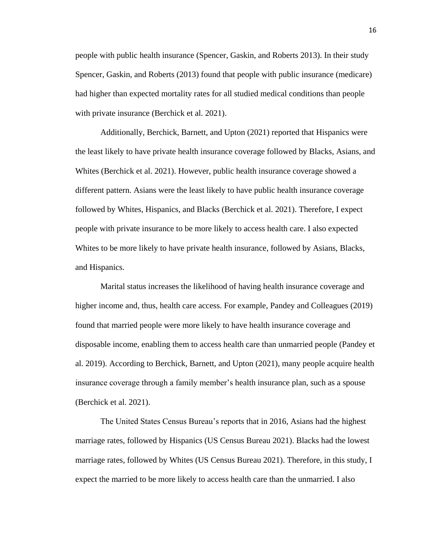people with public health insurance (Spencer, Gaskin, and Roberts 2013). In their study Spencer, Gaskin, and Roberts (2013) found that people with public insurance (medicare) had higher than expected mortality rates for all studied medical conditions than people with private insurance (Berchick et al. 2021).

Additionally, Berchick, Barnett, and Upton (2021) reported that Hispanics were the least likely to have private health insurance coverage followed by Blacks, Asians, and Whites (Berchick et al. 2021). However, public health insurance coverage showed a different pattern. Asians were the least likely to have public health insurance coverage followed by Whites, Hispanics, and Blacks (Berchick et al. 2021). Therefore, I expect people with private insurance to be more likely to access health care. I also expected Whites to be more likely to have private health insurance, followed by Asians, Blacks, and Hispanics.

Marital status increases the likelihood of having health insurance coverage and higher income and, thus, health care access. For example, Pandey and Colleagues (2019) found that married people were more likely to have health insurance coverage and disposable income, enabling them to access health care than unmarried people (Pandey et al. 2019). According to Berchick, Barnett, and Upton (2021), many people acquire health insurance coverage through a family member's health insurance plan, such as a spouse (Berchick et al. 2021).

The United States Census Bureau's reports that in 2016, Asians had the highest marriage rates, followed by Hispanics (US Census Bureau 2021). Blacks had the lowest marriage rates, followed by Whites (US Census Bureau 2021). Therefore, in this study, I expect the married to be more likely to access health care than the unmarried. I also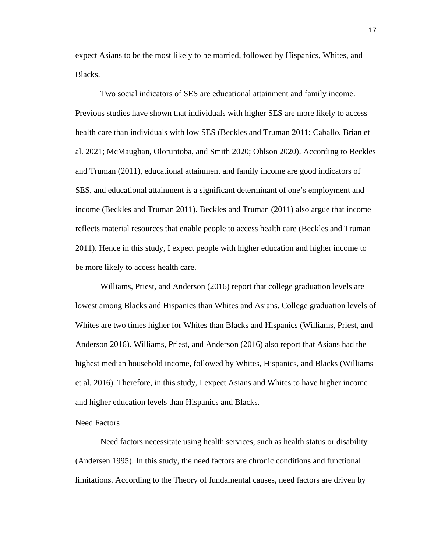expect Asians to be the most likely to be married, followed by Hispanics, Whites, and Blacks.

Two social indicators of SES are educational attainment and family income. Previous studies have shown that individuals with higher SES are more likely to access health care than individuals with low SES (Beckles and Truman 2011; Caballo, Brian et al. 2021; McMaughan, Oloruntoba, and Smith 2020; Ohlson 2020). According to Beckles and Truman (2011), educational attainment and family income are good indicators of SES, and educational attainment is a significant determinant of one's employment and income (Beckles and Truman 2011). Beckles and Truman (2011) also argue that income reflects material resources that enable people to access health care (Beckles and Truman 2011). Hence in this study, I expect people with higher education and higher income to be more likely to access health care.

Williams, Priest, and Anderson (2016) report that college graduation levels are lowest among Blacks and Hispanics than Whites and Asians. College graduation levels of Whites are two times higher for Whites than Blacks and Hispanics (Williams, Priest, and Anderson 2016). Williams, Priest, and Anderson (2016) also report that Asians had the highest median household income, followed by Whites, Hispanics, and Blacks (Williams et al. 2016). Therefore, in this study, I expect Asians and Whites to have higher income and higher education levels than Hispanics and Blacks.

#### <span id="page-17-0"></span>Need Factors

Need factors necessitate using health services, such as health status or disability (Andersen 1995). In this study, the need factors are chronic conditions and functional limitations. According to the Theory of fundamental causes, need factors are driven by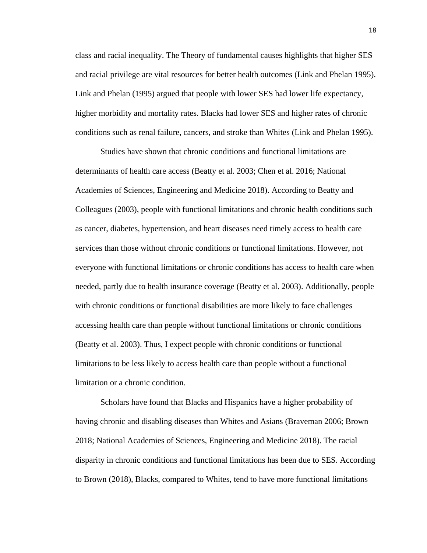class and racial inequality. The Theory of fundamental causes highlights that higher SES and racial privilege are vital resources for better health outcomes (Link and Phelan 1995). Link and Phelan (1995) argued that people with lower SES had lower life expectancy, higher morbidity and mortality rates. Blacks had lower SES and higher rates of chronic conditions such as renal failure, cancers, and stroke than Whites (Link and Phelan 1995).

Studies have shown that chronic conditions and functional limitations are determinants of health care access (Beatty et al. 2003; Chen et al. 2016; National Academies of Sciences, Engineering and Medicine 2018). According to Beatty and Colleagues (2003), people with functional limitations and chronic health conditions such as cancer, diabetes, hypertension, and heart diseases need timely access to health care services than those without chronic conditions or functional limitations. However, not everyone with functional limitations or chronic conditions has access to health care when needed, partly due to health insurance coverage (Beatty et al. 2003). Additionally, people with chronic conditions or functional disabilities are more likely to face challenges accessing health care than people without functional limitations or chronic conditions (Beatty et al. 2003). Thus, I expect people with chronic conditions or functional limitations to be less likely to access health care than people without a functional limitation or a chronic condition.

Scholars have found that Blacks and Hispanics have a higher probability of having chronic and disabling diseases than Whites and Asians (Braveman 2006; Brown 2018; National Academies of Sciences, Engineering and Medicine 2018). The racial disparity in chronic conditions and functional limitations has been due to SES. According to Brown (2018), Blacks, compared to Whites, tend to have more functional limitations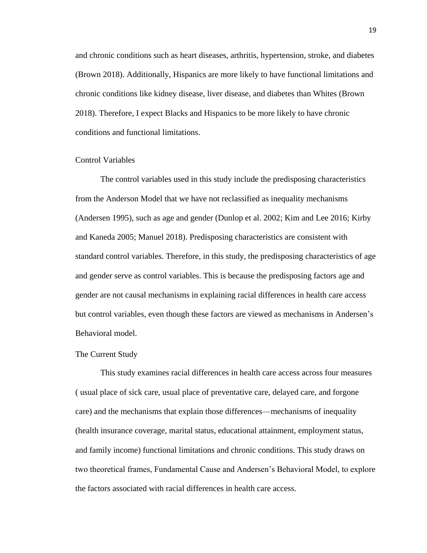and chronic conditions such as heart diseases, arthritis, hypertension, stroke, and diabetes (Brown 2018). Additionally, Hispanics are more likely to have functional limitations and chronic conditions like kidney disease, liver disease, and diabetes than Whites (Brown 2018). Therefore, I expect Blacks and Hispanics to be more likely to have chronic conditions and functional limitations.

#### Control Variables

The control variables used in this study include the predisposing characteristics from the Anderson Model that we have not reclassified as inequality mechanisms (Andersen 1995), such as age and gender (Dunlop et al. 2002; Kim and Lee 2016; Kirby and Kaneda 2005; Manuel 2018). Predisposing characteristics are consistent with standard control variables. Therefore, in this study, the predisposing characteristics of age and gender serve as control variables. This is because the predisposing factors age and gender are not causal mechanisms in explaining racial differences in health care access but control variables, even though these factors are viewed as mechanisms in Andersen's Behavioral model.

#### <span id="page-19-0"></span>The Current Study

This study examines racial differences in health care access across four measures ( usual place of sick care, usual place of preventative care, delayed care, and forgone care) and the mechanisms that explain those differences—mechanisms of inequality (health insurance coverage, marital status, educational attainment, employment status, and family income) functional limitations and chronic conditions. This study draws on two theoretical frames, Fundamental Cause and Andersen's Behavioral Model, to explore the factors associated with racial differences in health care access.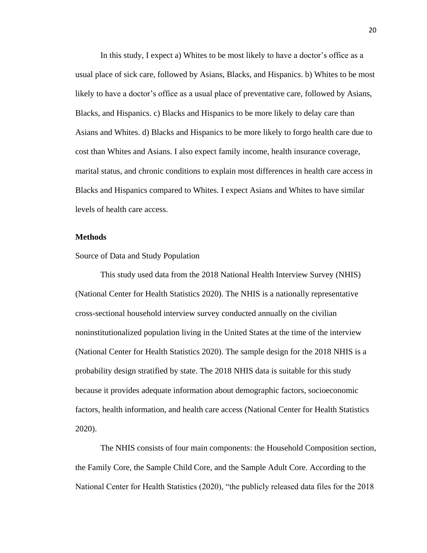In this study, I expect a) Whites to be most likely to have a doctor's office as a usual place of sick care, followed by Asians, Blacks, and Hispanics. b) Whites to be most likely to have a doctor's office as a usual place of preventative care, followed by Asians, Blacks, and Hispanics. c) Blacks and Hispanics to be more likely to delay care than Asians and Whites. d) Blacks and Hispanics to be more likely to forgo health care due to cost than Whites and Asians. I also expect family income, health insurance coverage, marital status, and chronic conditions to explain most differences in health care access in Blacks and Hispanics compared to Whites. I expect Asians and Whites to have similar levels of health care access.

#### <span id="page-20-0"></span>**Methods**

#### <span id="page-20-1"></span>Source of Data and Study Population

This study used data from the 2018 National Health Interview Survey (NHIS) (National Center for Health Statistics 2020). The NHIS is a nationally representative cross-sectional household interview survey conducted annually on the civilian noninstitutionalized population living in the United States at the time of the interview (National Center for Health Statistics 2020). The sample design for the 2018 NHIS is a probability design stratified by state. The 2018 NHIS data is suitable for this study because it provides adequate information about demographic factors, socioeconomic factors, health information, and health care access (National Center for Health Statistics 2020).

The NHIS consists of four main components: the Household Composition section, the Family Core, the Sample Child Core, and the Sample Adult Core. According to the National Center for Health Statistics (2020), "the publicly released data files for the 2018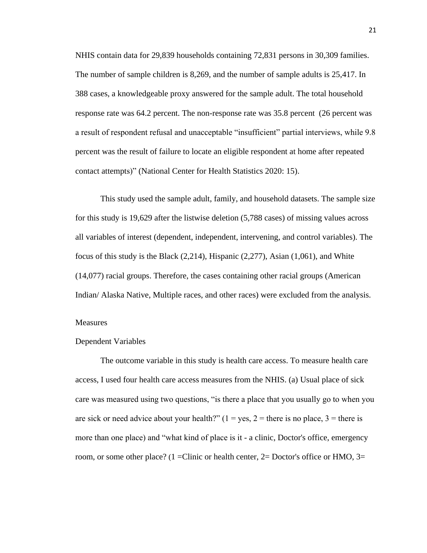NHIS contain data for 29,839 households containing 72,831 persons in 30,309 families. The number of sample children is 8,269, and the number of sample adults is 25,417. In 388 cases, a knowledgeable proxy answered for the sample adult. The total household response rate was 64.2 percent. The non-response rate was 35.8 percent (26 percent was a result of respondent refusal and unacceptable "insufficient" partial interviews, while 9.8 percent was the result of failure to locate an eligible respondent at home after repeated contact attempts)" (National Center for Health Statistics 2020: 15).

This study used the sample adult, family, and household datasets. The sample size for this study is 19,629 after the listwise deletion (5,788 cases) of missing values across all variables of interest (dependent, independent, intervening, and control variables). The focus of this study is the Black (2,214), Hispanic (2,277), Asian (1,061), and White (14,077) racial groups. Therefore, the cases containing other racial groups (American Indian/ Alaska Native, Multiple races, and other races) were excluded from the analysis.

#### <span id="page-21-0"></span>Measures

#### Dependent Variables

The outcome variable in this study is health care access. To measure health care access, I used four health care access measures from the NHIS. (a) Usual place of sick care was measured using two questions, "is there a place that you usually go to when you are sick or need advice about your health?"  $(1 = yes, 2 = there$  is no place,  $3 = there$  is more than one place) and "what kind of place is it - a clinic, Doctor's office, emergency room, or some other place? (1 =Clinic or health center, 2= Doctor's office or HMO, 3=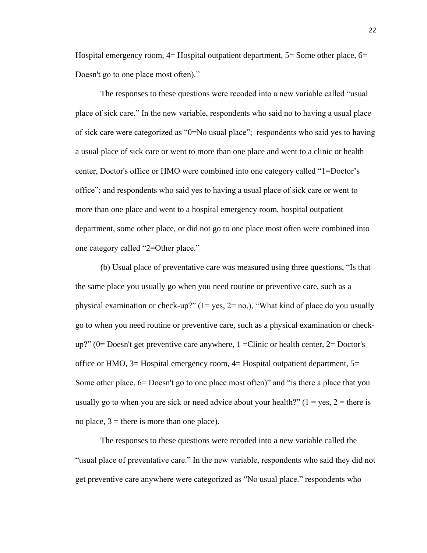Hospital emergency room,  $4=$  Hospital outpatient department,  $5=$  Some other place,  $6=$ Doesn't go to one place most often)."

The responses to these questions were recoded into a new variable called "usual place of sick care." In the new variable, respondents who said no to having a usual place of sick care were categorized as "0=No usual place"; respondents who said yes to having a usual place of sick care or went to more than one place and went to a clinic or health center, Doctor's office or HMO were combined into one category called "1=Doctor's office"; and respondents who said yes to having a usual place of sick care or went to more than one place and went to a hospital emergency room, hospital outpatient department, some other place, or did not go to one place most often were combined into one category called "2=Other place."

(b) Usual place of preventative care was measured using three questions, "Is that the same place you usually go when you need routine or preventive care, such as a physical examination or check-up?"  $(1 = yes, 2 = no)$ , "What kind of place do you usually go to when you need routine or preventive care, such as a physical examination or check $up$ ?" (0 = Doesn't get preventive care anywhere, 1 = Clinic or health center, 2 = Doctor's office or HMO, 3= Hospital emergency room, 4= Hospital outpatient department, 5= Some other place, 6= Doesn't go to one place most often)" and "is there a place that you usually go to when you are sick or need advice about your health?"  $(1 = yes, 2 = there$  is no place,  $3$  = there is more than one place).

The responses to these questions were recoded into a new variable called the "usual place of preventative care." In the new variable, respondents who said they did not get preventive care anywhere were categorized as "No usual place." respondents who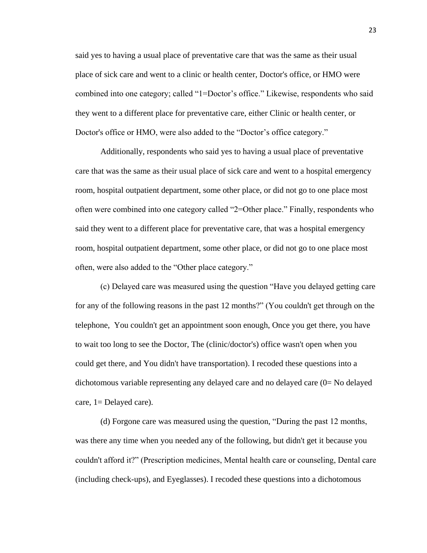said yes to having a usual place of preventative care that was the same as their usual place of sick care and went to a clinic or health center, Doctor's office, or HMO were combined into one category; called "1=Doctor's office." Likewise, respondents who said they went to a different place for preventative care, either Clinic or health center, or Doctor's office or HMO, were also added to the "Doctor's office category."

Additionally, respondents who said yes to having a usual place of preventative care that was the same as their usual place of sick care and went to a hospital emergency room, hospital outpatient department, some other place, or did not go to one place most often were combined into one category called "2=Other place." Finally, respondents who said they went to a different place for preventative care, that was a hospital emergency room, hospital outpatient department, some other place, or did not go to one place most often, were also added to the "Other place category."

(c) Delayed care was measured using the question "Have you delayed getting care for any of the following reasons in the past 12 months?" (You couldn't get through on the telephone, You couldn't get an appointment soon enough, Once you get there, you have to wait too long to see the Doctor, The (clinic/doctor's) office wasn't open when you could get there, and You didn't have transportation). I recoded these questions into a dichotomous variable representing any delayed care and no delayed care (0= No delayed care, 1= Delayed care).

(d) Forgone care was measured using the question, "During the past 12 months, was there any time when you needed any of the following, but didn't get it because you couldn't afford it?" (Prescription medicines, Mental health care or counseling, Dental care (including check-ups), and Eyeglasses). I recoded these questions into a dichotomous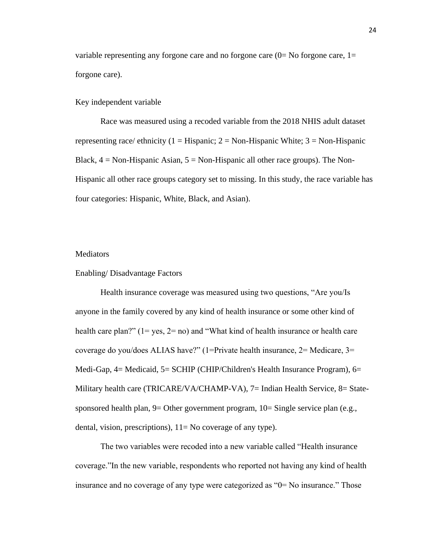variable representing any forgone care and no forgone care  $(0=$  No forgone care,  $1=$ forgone care).

#### Key independent variable

Race was measured using a recoded variable from the 2018 NHIS adult dataset representing race/ ethnicity (1 = Hispanic; 2 = Non-Hispanic White; 3 = Non-Hispanic Black,  $4 = \text{Non-Hispanic Asian}, 5 = \text{Non-Hispanic all other race groups}.$  The Non-Hispanic all other race groups category set to missing. In this study, the race variable has four categories: Hispanic, White, Black, and Asian).

#### **Mediators**

#### Enabling/ Disadvantage Factors

Health insurance coverage was measured using two questions, "Are you/Is anyone in the family covered by any kind of health insurance or some other kind of health care plan?" (1= yes, 2= no) and "What kind of health insurance or health care coverage do you/does ALIAS have?" (1=Private health insurance, 2= Medicare, 3= Medi-Gap, 4= Medicaid, 5= SCHIP (CHIP/Children's Health Insurance Program), 6= Military health care (TRICARE/VA/CHAMP-VA), 7= Indian Health Service, 8= Statesponsored health plan, 9= Other government program, 10= Single service plan (e.g., dental, vision, prescriptions), 11= No coverage of any type).

The two variables were recoded into a new variable called "Health insurance coverage."In the new variable, respondents who reported not having any kind of health insurance and no coverage of any type were categorized as "0= No insurance." Those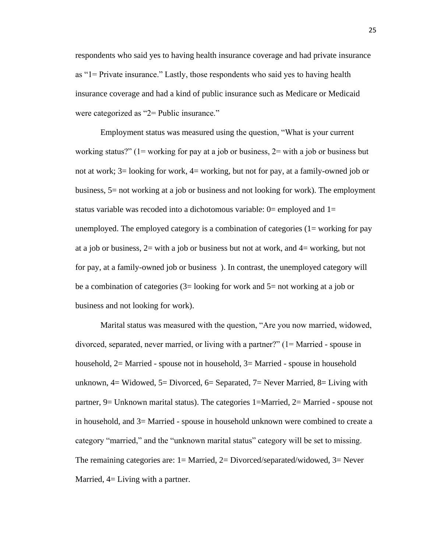respondents who said yes to having health insurance coverage and had private insurance as "1= Private insurance." Lastly, those respondents who said yes to having health insurance coverage and had a kind of public insurance such as Medicare or Medicaid were categorized as "2= Public insurance."

Employment status was measured using the question, "What is your current working status?" ( $1$ = working for pay at a job or business,  $2$ = with a job or business but not at work; 3= looking for work, 4= working, but not for pay, at a family-owned job or business, 5= not working at a job or business and not looking for work). The employment status variable was recoded into a dichotomous variable:  $0=$  employed and  $1=$ unemployed. The employed category is a combination of categories  $(1 = \text{working for pay})$ at a job or business,  $2=$  with a job or business but not at work, and  $4=$  working, but not for pay, at a family-owned job or business ). In contrast, the unemployed category will be a combination of categories (3= looking for work and 5= not working at a job or business and not looking for work).

Marital status was measured with the question, "Are you now married, widowed, divorced, separated, never married, or living with a partner?" (1= Married - spouse in household, 2= Married - spouse not in household, 3= Married - spouse in household unknown,  $4=$  Widowed,  $5=$  Divorced,  $6=$  Separated,  $7=$  Never Married,  $8=$  Living with partner, 9= Unknown marital status). The categories 1=Married, 2= Married - spouse not in household, and 3= Married - spouse in household unknown were combined to create a category "married," and the "unknown marital status" category will be set to missing. The remaining categories are: 1= Married, 2= Divorced/separated/widowed, 3= Never Married,  $4=$  Living with a partner.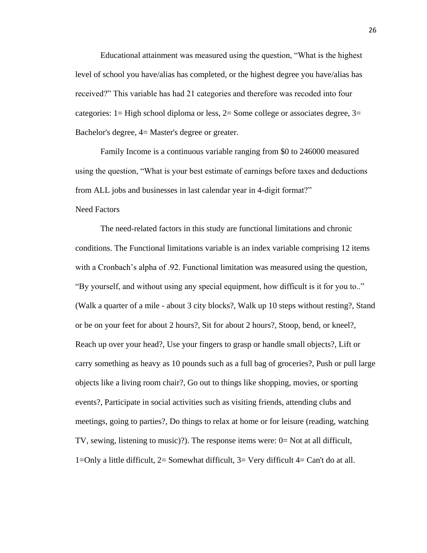Educational attainment was measured using the question, "What is the highest level of school you have/alias has completed, or the highest degree you have/alias has received?" This variable has had 21 categories and therefore was recoded into four categories: 1= High school diploma or less, 2= Some college or associates degree, 3= Bachelor's degree, 4= Master's degree or greater.

Family Income is a continuous variable ranging from \$0 to 246000 measured using the question, "What is your best estimate of earnings before taxes and deductions from ALL jobs and businesses in last calendar year in 4-digit format?"

#### Need Factors

The need-related factors in this study are functional limitations and chronic conditions. The Functional limitations variable is an index variable comprising 12 items with a Cronbach's alpha of .92. Functional limitation was measured using the question, "By yourself, and without using any special equipment, how difficult is it for you to.." (Walk a quarter of a mile - about 3 city blocks?, Walk up 10 steps without resting?, Stand or be on your feet for about 2 hours?, Sit for about 2 hours?, Stoop, bend, or kneel?, Reach up over your head?, Use your fingers to grasp or handle small objects?, Lift or carry something as heavy as 10 pounds such as a full bag of groceries?, Push or pull large objects like a living room chair?, Go out to things like shopping, movies, or sporting events?, Participate in social activities such as visiting friends, attending clubs and meetings, going to parties?, Do things to relax at home or for leisure (reading, watching TV, sewing, listening to music)?). The response items were: 0= Not at all difficult, 1=Only a little difficult, 2= Somewhat difficult, 3= Very difficult 4= Can't do at all.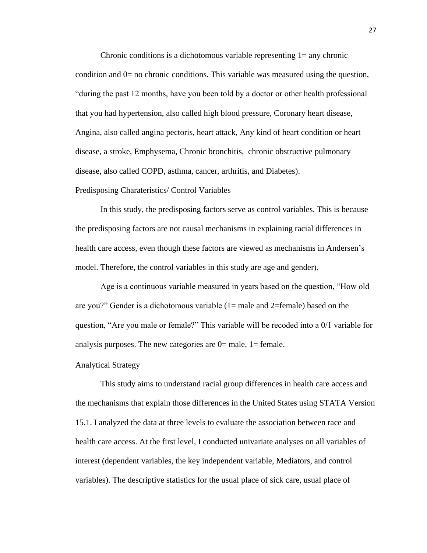Chronic conditions is a dichotomous variable representing 1= any chronic condition and 0= no chronic conditions. This variable was measured using the question, "during the past 12 months, have you been told by a doctor or other health professional that you had hypertension, also called high blood pressure, Coronary heart disease, Angina, also called angina pectoris, heart attack, Any kind of heart condition or heart disease, a stroke, Emphysema, Chronic bronchitis, chronic obstructive pulmonary disease, also called COPD, asthma, cancer, arthritis, and Diabetes).

#### Predisposing Charateristics/ Control Variables

In this study, the predisposing factors serve as control variables. This is because the predisposing factors are not causal mechanisms in explaining racial differences in health care access, even though these factors are viewed as mechanisms in Andersen's model. Therefore, the control variables in this study are age and gender).

Age is a continuous variable measured in years based on the question, "How old are you?" Gender is a dichotomous variable  $(1)$  male and  $2$ =female) based on the question, "Are you male or female?" This variable will be recoded into a 0/1 variable for analysis purposes. The new categories are  $0=$  male,  $1=$  female.

#### <span id="page-27-0"></span>Analytical Strategy

This study aims to understand racial group differences in health care access and the mechanisms that explain those differences in the United States using STATA Version 15.1. I analyzed the data at three levels to evaluate the association between race and health care access. At the first level, I conducted univariate analyses on all variables of interest (dependent variables, the key independent variable, Mediators, and control variables). The descriptive statistics for the usual place of sick care, usual place of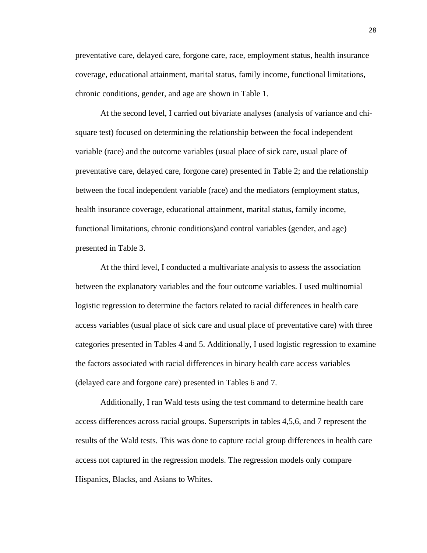preventative care, delayed care, forgone care, race, employment status, health insurance coverage, educational attainment, marital status, family income, functional limitations, chronic conditions, gender, and age are shown in Table 1.

At the second level, I carried out bivariate analyses (analysis of variance and chisquare test) focused on determining the relationship between the focal independent variable (race) and the outcome variables (usual place of sick care, usual place of preventative care, delayed care, forgone care) presented in Table 2; and the relationship between the focal independent variable (race) and the mediators (employment status, health insurance coverage, educational attainment, marital status, family income, functional limitations, chronic conditions)and control variables (gender, and age) presented in Table 3.

At the third level, I conducted a multivariate analysis to assess the association between the explanatory variables and the four outcome variables. I used multinomial logistic regression to determine the factors related to racial differences in health care access variables (usual place of sick care and usual place of preventative care) with three categories presented in Tables 4 and 5. Additionally, I used logistic regression to examine the factors associated with racial differences in binary health care access variables (delayed care and forgone care) presented in Tables 6 and 7.

Additionally, I ran Wald tests using the test command to determine health care access differences across racial groups. Superscripts in tables 4,5,6, and 7 represent the results of the Wald tests. This was done to capture racial group differences in health care access not captured in the regression models. The regression models only compare Hispanics, Blacks, and Asians to Whites.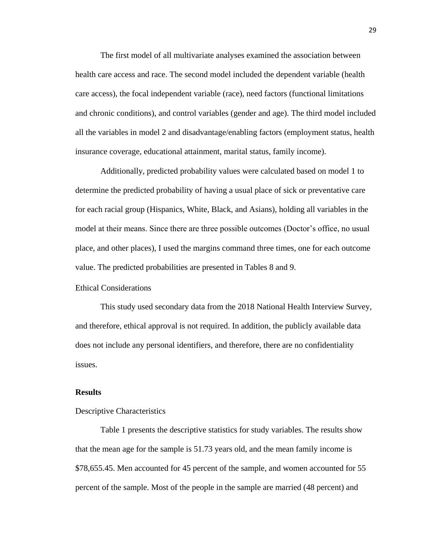The first model of all multivariate analyses examined the association between health care access and race. The second model included the dependent variable (health care access), the focal independent variable (race), need factors (functional limitations and chronic conditions), and control variables (gender and age). The third model included all the variables in model 2 and disadvantage/enabling factors (employment status, health insurance coverage, educational attainment, marital status, family income).

Additionally, predicted probability values were calculated based on model 1 to determine the predicted probability of having a usual place of sick or preventative care for each racial group (Hispanics, White, Black, and Asians), holding all variables in the model at their means. Since there are three possible outcomes (Doctor's office, no usual place, and other places), I used the margins command three times, one for each outcome value. The predicted probabilities are presented in Tables 8 and 9.

<span id="page-29-0"></span>Ethical Considerations

This study used secondary data from the 2018 National Health Interview Survey, and therefore, ethical approval is not required. In addition, the publicly available data does not include any personal identifiers, and therefore, there are no confidentiality issues.

#### <span id="page-29-1"></span>**Results**

#### <span id="page-29-2"></span>Descriptive Characteristics

Table 1 presents the descriptive statistics for study variables. The results show that the mean age for the sample is 51.73 years old, and the mean family income is \$78,655.45. Men accounted for 45 percent of the sample, and women accounted for 55 percent of the sample. Most of the people in the sample are married (48 percent) and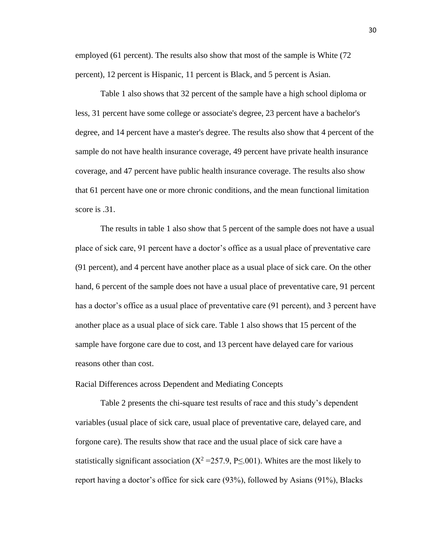employed (61 percent). The results also show that most of the sample is White (72 percent), 12 percent is Hispanic, 11 percent is Black, and 5 percent is Asian.

Table 1 also shows that 32 percent of the sample have a high school diploma or less, 31 percent have some college or associate's degree, 23 percent have a bachelor's degree, and 14 percent have a master's degree. The results also show that 4 percent of the sample do not have health insurance coverage, 49 percent have private health insurance coverage, and 47 percent have public health insurance coverage. The results also show that 61 percent have one or more chronic conditions, and the mean functional limitation score is .31.

The results in table 1 also show that 5 percent of the sample does not have a usual place of sick care, 91 percent have a doctor's office as a usual place of preventative care (91 percent), and 4 percent have another place as a usual place of sick care. On the other hand, 6 percent of the sample does not have a usual place of preventative care, 91 percent has a doctor's office as a usual place of preventative care (91 percent), and 3 percent have another place as a usual place of sick care. Table 1 also shows that 15 percent of the sample have forgone care due to cost, and 13 percent have delayed care for various reasons other than cost.

<span id="page-30-0"></span>Racial Differences across Dependent and Mediating Concepts

Table 2 presents the chi-square test results of race and this study's dependent variables (usual place of sick care, usual place of preventative care, delayed care, and forgone care). The results show that race and the usual place of sick care have a statistically significant association ( $X^2 = 257.9$ , P $\leq$ .001). Whites are the most likely to report having a doctor's office for sick care (93%), followed by Asians (91%), Blacks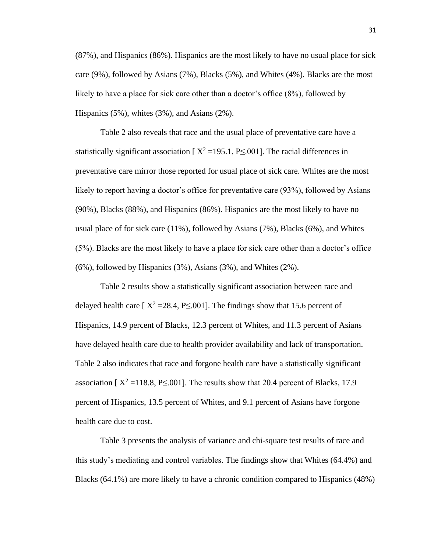(87%), and Hispanics (86%). Hispanics are the most likely to have no usual place for sick care (9%), followed by Asians (7%), Blacks (5%), and Whites (4%). Blacks are the most likely to have a place for sick care other than a doctor's office (8%), followed by Hispanics (5%), whites (3%), and Asians (2%).

Table 2 also reveals that race and the usual place of preventative care have a statistically significant association [ $X^2 = 195.1$ , P $\leq 0.001$ ]. The racial differences in preventative care mirror those reported for usual place of sick care. Whites are the most likely to report having a doctor's office for preventative care (93%), followed by Asians (90%), Blacks (88%), and Hispanics (86%). Hispanics are the most likely to have no usual place of for sick care (11%), followed by Asians (7%), Blacks (6%), and Whites (5%). Blacks are the most likely to have a place for sick care other than a doctor's office (6%), followed by Hispanics (3%), Asians (3%), and Whites (2%).

Table 2 results show a statistically significant association between race and delayed health care [ $X^2 = 28.4$ , P $\leq 0.01$ ]. The findings show that 15.6 percent of Hispanics, 14.9 percent of Blacks, 12.3 percent of Whites, and 11.3 percent of Asians have delayed health care due to health provider availability and lack of transportation. Table 2 also indicates that race and forgone health care have a statistically significant association [ $X^2$  = 118.8, P<.001]. The results show that 20.4 percent of Blacks, 17.9 percent of Hispanics, 13.5 percent of Whites, and 9.1 percent of Asians have forgone health care due to cost.

Table 3 presents the analysis of variance and chi-square test results of race and this study's mediating and control variables. The findings show that Whites (64.4%) and Blacks (64.1%) are more likely to have a chronic condition compared to Hispanics (48%)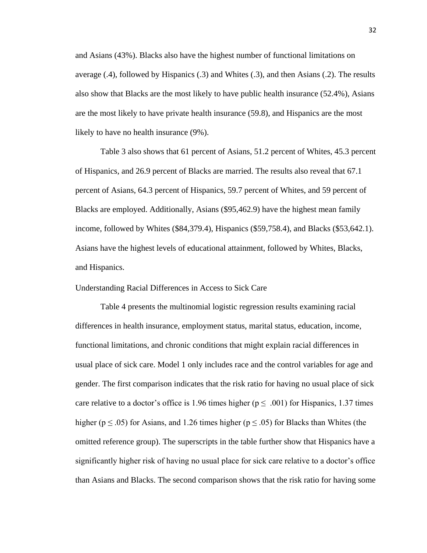and Asians (43%). Blacks also have the highest number of functional limitations on average (.4), followed by Hispanics (.3) and Whites (.3), and then Asians (.2). The results also show that Blacks are the most likely to have public health insurance (52.4%), Asians are the most likely to have private health insurance (59.8), and Hispanics are the most likely to have no health insurance (9%).

Table 3 also shows that 61 percent of Asians, 51.2 percent of Whites, 45.3 percent of Hispanics, and 26.9 percent of Blacks are married. The results also reveal that 67.1 percent of Asians, 64.3 percent of Hispanics, 59.7 percent of Whites, and 59 percent of Blacks are employed. Additionally, Asians (\$95,462.9) have the highest mean family income, followed by Whites (\$84,379.4), Hispanics (\$59,758.4), and Blacks (\$53,642.1). Asians have the highest levels of educational attainment, followed by Whites, Blacks, and Hispanics.

<span id="page-32-0"></span>Understanding Racial Differences in Access to Sick Care

Table 4 presents the multinomial logistic regression results examining racial differences in health insurance, employment status, marital status, education, income, functional limitations, and chronic conditions that might explain racial differences in usual place of sick care. Model 1 only includes race and the control variables for age and gender. The first comparison indicates that the risk ratio for having no usual place of sick care relative to a doctor's office is 1.96 times higher ( $p \leq .001$ ) for Hispanics, 1.37 times higher ( $p \le .05$ ) for Asians, and 1.26 times higher ( $p \le .05$ ) for Blacks than Whites (the omitted reference group). The superscripts in the table further show that Hispanics have a significantly higher risk of having no usual place for sick care relative to a doctor's office than Asians and Blacks. The second comparison shows that the risk ratio for having some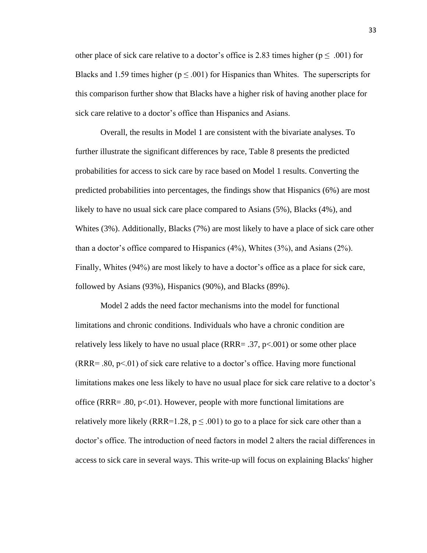other place of sick care relative to a doctor's office is 2.83 times higher ( $p \leq .001$ ) for Blacks and 1.59 times higher ( $p \le 0.001$ ) for Hispanics than Whites. The superscripts for this comparison further show that Blacks have a higher risk of having another place for sick care relative to a doctor's office than Hispanics and Asians.

Overall, the results in Model 1 are consistent with the bivariate analyses. To further illustrate the significant differences by race, Table 8 presents the predicted probabilities for access to sick care by race based on Model 1 results. Converting the predicted probabilities into percentages, the findings show that Hispanics (6%) are most likely to have no usual sick care place compared to Asians (5%), Blacks (4%), and Whites (3%). Additionally, Blacks (7%) are most likely to have a place of sick care other than a doctor's office compared to Hispanics (4%), Whites (3%), and Asians (2%). Finally, Whites (94%) are most likely to have a doctor's office as a place for sick care, followed by Asians (93%), Hispanics (90%), and Blacks (89%).

Model 2 adds the need factor mechanisms into the model for functional limitations and chronic conditions. Individuals who have a chronic condition are relatively less likely to have no usual place ( $RRR = .37$ ,  $p< .001$ ) or some other place  $(RRR = .80, p < .01)$  of sick care relative to a doctor's office. Having more functional limitations makes one less likely to have no usual place for sick care relative to a doctor's office (RRR=  $.80, p<0.01$ ). However, people with more functional limitations are relatively more likely (RRR=1.28,  $p \leq .001$ ) to go to a place for sick care other than a doctor's office. The introduction of need factors in model 2 alters the racial differences in access to sick care in several ways. This write-up will focus on explaining Blacks' higher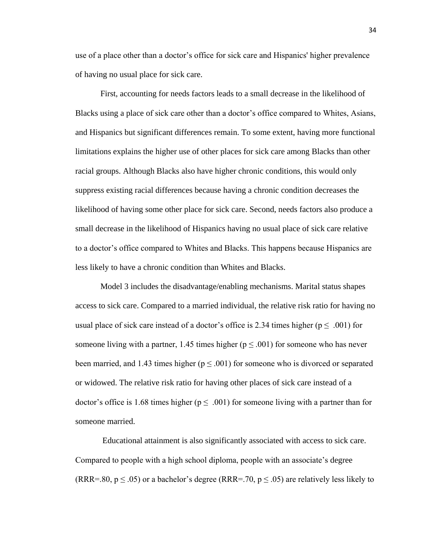use of a place other than a doctor's office for sick care and Hispanics' higher prevalence of having no usual place for sick care.

First, accounting for needs factors leads to a small decrease in the likelihood of Blacks using a place of sick care other than a doctor's office compared to Whites, Asians, and Hispanics but significant differences remain. To some extent, having more functional limitations explains the higher use of other places for sick care among Blacks than other racial groups. Although Blacks also have higher chronic conditions, this would only suppress existing racial differences because having a chronic condition decreases the likelihood of having some other place for sick care. Second, needs factors also produce a small decrease in the likelihood of Hispanics having no usual place of sick care relative to a doctor's office compared to Whites and Blacks. This happens because Hispanics are less likely to have a chronic condition than Whites and Blacks.

Model 3 includes the disadvantage/enabling mechanisms. Marital status shapes access to sick care. Compared to a married individual, the relative risk ratio for having no usual place of sick care instead of a doctor's office is 2.34 times higher ( $p \leq .001$ ) for someone living with a partner, 1.45 times higher ( $p \le 0.001$ ) for someone who has never been married, and 1.43 times higher ( $p \le 0.001$ ) for someone who is divorced or separated or widowed. The relative risk ratio for having other places of sick care instead of a doctor's office is 1.68 times higher ( $p \leq .001$ ) for someone living with a partner than for someone married.

Educational attainment is also significantly associated with access to sick care. Compared to people with a high school diploma, people with an associate's degree (RRR=.80,  $p \le 0.05$ ) or a bachelor's degree (RRR=.70,  $p \le 0.05$ ) are relatively less likely to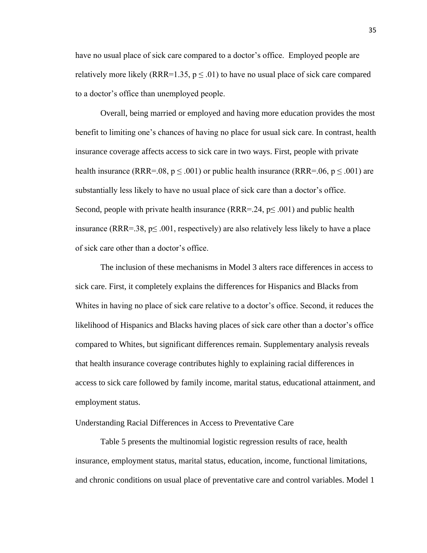have no usual place of sick care compared to a doctor's office. Employed people are relatively more likely (RRR=1.35,  $p \leq .01$ ) to have no usual place of sick care compared to a doctor's office than unemployed people.

Overall, being married or employed and having more education provides the most benefit to limiting one's chances of having no place for usual sick care. In contrast, health insurance coverage affects access to sick care in two ways. First, people with private health insurance (RRR=.08,  $p \leq .001$ ) or public health insurance (RRR=.06,  $p \leq .001$ ) are substantially less likely to have no usual place of sick care than a doctor's office. Second, people with private health insurance ( $RRR = .24$ ,  $p \le .001$ ) and public health insurance (RRR=.38,  $p \le 0.001$ , respectively) are also relatively less likely to have a place of sick care other than a doctor's office.

The inclusion of these mechanisms in Model 3 alters race differences in access to sick care. First, it completely explains the differences for Hispanics and Blacks from Whites in having no place of sick care relative to a doctor's office. Second, it reduces the likelihood of Hispanics and Blacks having places of sick care other than a doctor's office compared to Whites, but significant differences remain. Supplementary analysis reveals that health insurance coverage contributes highly to explaining racial differences in access to sick care followed by family income, marital status, educational attainment, and employment status.

#### <span id="page-35-0"></span>Understanding Racial Differences in Access to Preventative Care

Table 5 presents the multinomial logistic regression results of race, health insurance, employment status, marital status, education, income, functional limitations, and chronic conditions on usual place of preventative care and control variables. Model 1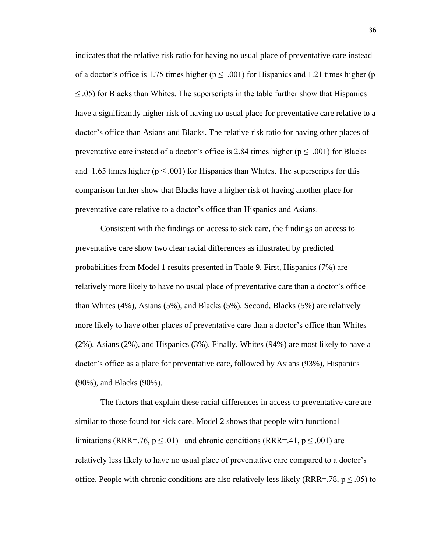indicates that the relative risk ratio for having no usual place of preventative care instead of a doctor's office is 1.75 times higher ( $p \leq .001$ ) for Hispanics and 1.21 times higher (p  $\leq$  0.05) for Blacks than Whites. The superscripts in the table further show that Hispanics have a significantly higher risk of having no usual place for preventative care relative to a doctor's office than Asians and Blacks. The relative risk ratio for having other places of preventative care instead of a doctor's office is 2.84 times higher ( $p \leq .001$ ) for Blacks and 1.65 times higher ( $p \le 0.001$ ) for Hispanics than Whites. The superscripts for this comparison further show that Blacks have a higher risk of having another place for preventative care relative to a doctor's office than Hispanics and Asians.

Consistent with the findings on access to sick care, the findings on access to preventative care show two clear racial differences as illustrated by predicted probabilities from Model 1 results presented in Table 9. First, Hispanics (7%) are relatively more likely to have no usual place of preventative care than a doctor's office than Whites (4%), Asians (5%), and Blacks (5%). Second, Blacks (5%) are relatively more likely to have other places of preventative care than a doctor's office than Whites (2%), Asians (2%), and Hispanics (3%). Finally, Whites (94%) are most likely to have a doctor's office as a place for preventative care, followed by Asians (93%), Hispanics (90%), and Blacks (90%).

The factors that explain these racial differences in access to preventative care are similar to those found for sick care. Model 2 shows that people with functional limitations (RRR=.76,  $p \le 0.01$ ) and chronic conditions (RRR=.41,  $p \le 0.001$ ) are relatively less likely to have no usual place of preventative care compared to a doctor's office. People with chronic conditions are also relatively less likely (RRR=.78,  $p \leq .05$ ) to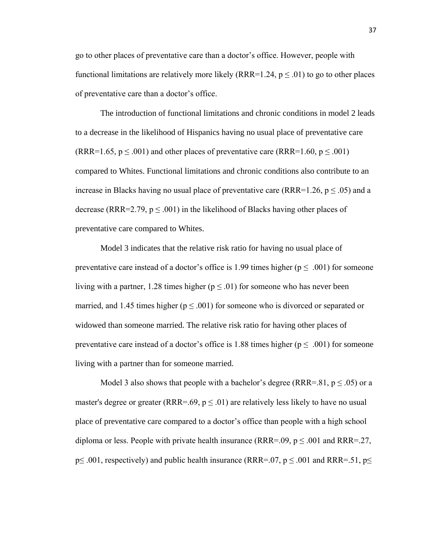go to other places of preventative care than a doctor's office. However, people with functional limitations are relatively more likely (RRR=1.24,  $p \le 0.01$ ) to go to other places of preventative care than a doctor's office.

The introduction of functional limitations and chronic conditions in model 2 leads to a decrease in the likelihood of Hispanics having no usual place of preventative care (RRR=1.65,  $p \le 0.001$ ) and other places of preventative care (RRR=1.60,  $p \le 0.001$ ) compared to Whites. Functional limitations and chronic conditions also contribute to an increase in Blacks having no usual place of preventative care (RRR=1.26,  $p \le 0.05$ ) and a decrease (RRR=2.79,  $p \le 0.001$ ) in the likelihood of Blacks having other places of preventative care compared to Whites.

Model 3 indicates that the relative risk ratio for having no usual place of preventative care instead of a doctor's office is 1.99 times higher ( $p \leq .001$ ) for someone living with a partner, 1.28 times higher ( $p \leq .01$ ) for someone who has never been married, and 1.45 times higher ( $p \leq .001$ ) for someone who is divorced or separated or widowed than someone married. The relative risk ratio for having other places of preventative care instead of a doctor's office is 1.88 times higher ( $p \le 0.001$ ) for someone living with a partner than for someone married.

Model 3 also shows that people with a bachelor's degree (RRR=.81,  $p \leq .05$ ) or a master's degree or greater (RRR=.69,  $p \leq .01$ ) are relatively less likely to have no usual place of preventative care compared to a doctor's office than people with a high school diploma or less. People with private health insurance (RRR=.09,  $p \leq .001$  and RRR=.27,  $p \leq .001$ , respectively) and public health insurance (RRR=.07,  $p \leq .001$  and RRR=.51,  $p \leq$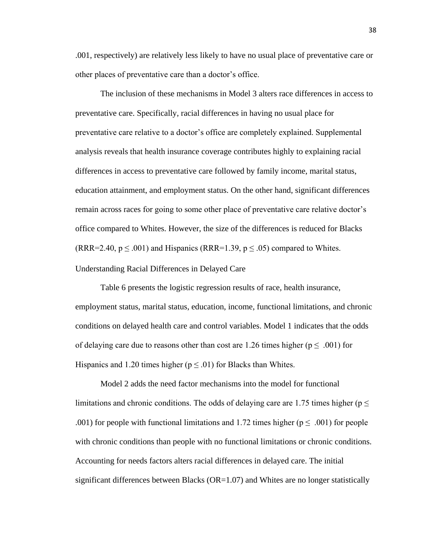.001, respectively) are relatively less likely to have no usual place of preventative care or other places of preventative care than a doctor's office.

The inclusion of these mechanisms in Model 3 alters race differences in access to preventative care. Specifically, racial differences in having no usual place for preventative care relative to a doctor's office are completely explained. Supplemental analysis reveals that health insurance coverage contributes highly to explaining racial differences in access to preventative care followed by family income, marital status, education attainment, and employment status. On the other hand, significant differences remain across races for going to some other place of preventative care relative doctor's office compared to Whites. However, the size of the differences is reduced for Blacks (RRR=2.40,  $p \le 0.001$ ) and Hispanics (RRR=1.39,  $p \le 0.05$ ) compared to Whites.

#### <span id="page-38-0"></span>Understanding Racial Differences in Delayed Care

Table 6 presents the logistic regression results of race, health insurance, employment status, marital status, education, income, functional limitations, and chronic conditions on delayed health care and control variables. Model 1 indicates that the odds of delaying care due to reasons other than cost are 1.26 times higher ( $p \leq .001$ ) for Hispanics and 1.20 times higher ( $p \le 0.01$ ) for Blacks than Whites.

Model 2 adds the need factor mechanisms into the model for functional limitations and chronic conditions. The odds of delaying care are 1.75 times higher ( $p \leq$ .001) for people with functional limitations and 1.72 times higher ( $p \leq .001$ ) for people with chronic conditions than people with no functional limitations or chronic conditions. Accounting for needs factors alters racial differences in delayed care. The initial significant differences between Blacks ( $OR=1.07$ ) and Whites are no longer statistically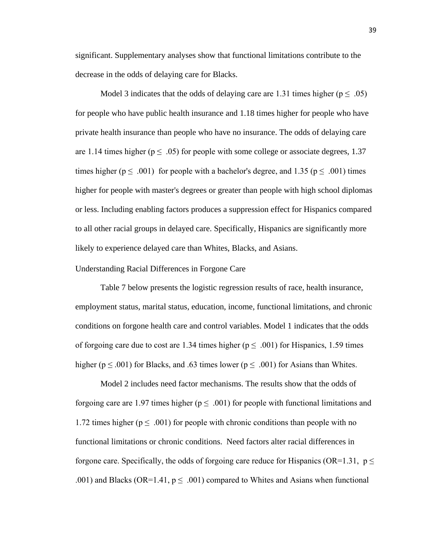significant. Supplementary analyses show that functional limitations contribute to the decrease in the odds of delaying care for Blacks.

Model 3 indicates that the odds of delaying care are 1.31 times higher ( $p \leq .05$ ) for people who have public health insurance and 1.18 times higher for people who have private health insurance than people who have no insurance. The odds of delaying care are 1.14 times higher ( $p \leq 0.05$ ) for people with some college or associate degrees, 1.37 times higher ( $p \le .001$ ) for people with a bachelor's degree, and 1.35 ( $p \le .001$ ) times higher for people with master's degrees or greater than people with high school diplomas or less. Including enabling factors produces a suppression effect for Hispanics compared to all other racial groups in delayed care. Specifically, Hispanics are significantly more likely to experience delayed care than Whites, Blacks, and Asians.

## <span id="page-39-0"></span>Understanding Racial Differences in Forgone Care

Table 7 below presents the logistic regression results of race, health insurance, employment status, marital status, education, income, functional limitations, and chronic conditions on forgone health care and control variables. Model 1 indicates that the odds of forgoing care due to cost are 1.34 times higher ( $p \leq .001$ ) for Hispanics, 1.59 times higher ( $p \leq .001$ ) for Blacks, and .63 times lower ( $p \leq .001$ ) for Asians than Whites.

Model 2 includes need factor mechanisms. The results show that the odds of forgoing care are 1.97 times higher ( $p \leq .001$ ) for people with functional limitations and 1.72 times higher ( $p \leq .001$ ) for people with chronic conditions than people with no functional limitations or chronic conditions. Need factors alter racial differences in forgone care. Specifically, the odds of forgoing care reduce for Hispanics (OR=1.31,  $p \leq$ .001) and Blacks (OR=1.41,  $p \leq .001$ ) compared to Whites and Asians when functional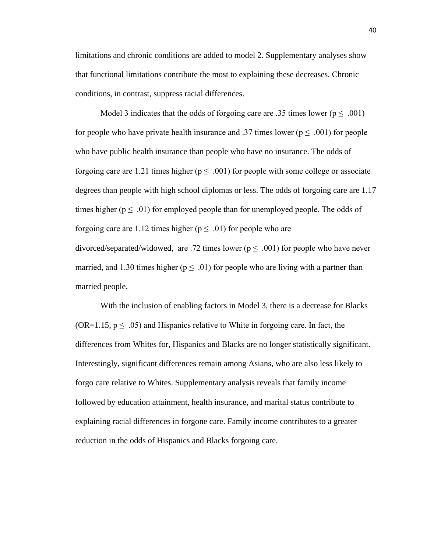limitations and chronic conditions are added to model 2. Supplementary analyses show that functional limitations contribute the most to explaining these decreases. Chronic conditions, in contrast, suppress racial differences.

Model 3 indicates that the odds of forgoing care are .35 times lower ( $p \leq .001$ ) for people who have private health insurance and .37 times lower ( $p \leq .001$ ) for people who have public health insurance than people who have no insurance. The odds of forgoing care are 1.21 times higher ( $p \leq .001$ ) for people with some college or associate degrees than people with high school diplomas or less. The odds of forgoing care are 1.17 times higher ( $p \leq .01$ ) for employed people than for unemployed people. The odds of forgoing care are 1.12 times higher ( $p \leq .01$ ) for people who are divorced/separated/widowed, are .72 times lower ( $p \leq .001$ ) for people who have never married, and 1.30 times higher ( $p \leq .01$ ) for people who are living with a partner than married people.

With the inclusion of enabling factors in Model 3, there is a decrease for Blacks (OR=1.15,  $p \leq .05$ ) and Hispanics relative to White in forgoing care. In fact, the differences from Whites for, Hispanics and Blacks are no longer statistically significant. Interestingly, significant differences remain among Asians, who are also less likely to forgo care relative to Whites. Supplementary analysis reveals that family income followed by education attainment, health insurance, and marital status contribute to explaining racial differences in forgone care. Family income contributes to a greater reduction in the odds of Hispanics and Blacks forgoing care.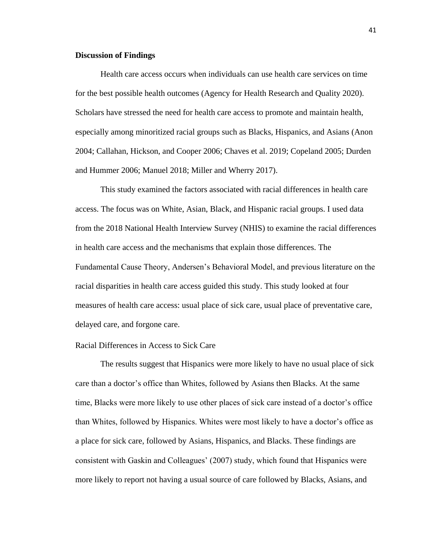#### <span id="page-41-0"></span>**Discussion of Findings**

Health care access occurs when individuals can use health care services on time for the best possible health outcomes (Agency for Health Research and Quality 2020). Scholars have stressed the need for health care access to promote and maintain health, especially among minoritized racial groups such as Blacks, Hispanics, and Asians (Anon 2004; Callahan, Hickson, and Cooper 2006; Chaves et al. 2019; Copeland 2005; Durden and Hummer 2006; Manuel 2018; Miller and Wherry 2017).

This study examined the factors associated with racial differences in health care access. The focus was on White, Asian, Black, and Hispanic racial groups. I used data from the 2018 National Health Interview Survey (NHIS) to examine the racial differences in health care access and the mechanisms that explain those differences. The Fundamental Cause Theory, Andersen's Behavioral Model, and previous literature on the racial disparities in health care access guided this study. This study looked at four measures of health care access: usual place of sick care, usual place of preventative care, delayed care, and forgone care.

#### <span id="page-41-1"></span>Racial Differences in Access to Sick Care

The results suggest that Hispanics were more likely to have no usual place of sick care than a doctor's office than Whites, followed by Asians then Blacks. At the same time, Blacks were more likely to use other places of sick care instead of a doctor's office than Whites, followed by Hispanics. Whites were most likely to have a doctor's office as a place for sick care, followed by Asians, Hispanics, and Blacks. These findings are consistent with Gaskin and Colleagues' (2007) study, which found that Hispanics were more likely to report not having a usual source of care followed by Blacks, Asians, and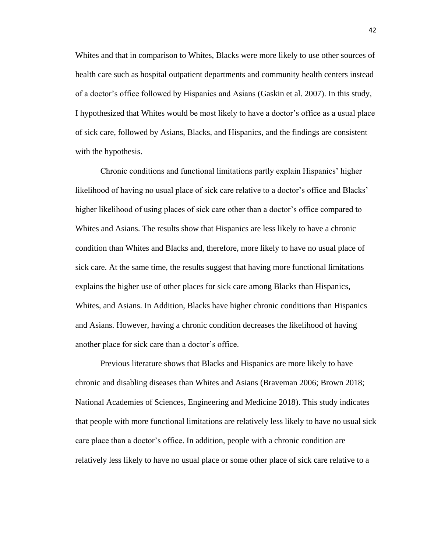Whites and that in comparison to Whites, Blacks were more likely to use other sources of health care such as hospital outpatient departments and community health centers instead of a doctor's office followed by Hispanics and Asians (Gaskin et al. 2007). In this study, I hypothesized that Whites would be most likely to have a doctor's office as a usual place of sick care, followed by Asians, Blacks, and Hispanics, and the findings are consistent with the hypothesis.

Chronic conditions and functional limitations partly explain Hispanics' higher likelihood of having no usual place of sick care relative to a doctor's office and Blacks' higher likelihood of using places of sick care other than a doctor's office compared to Whites and Asians. The results show that Hispanics are less likely to have a chronic condition than Whites and Blacks and, therefore, more likely to have no usual place of sick care. At the same time, the results suggest that having more functional limitations explains the higher use of other places for sick care among Blacks than Hispanics, Whites, and Asians. In Addition, Blacks have higher chronic conditions than Hispanics and Asians. However, having a chronic condition decreases the likelihood of having another place for sick care than a doctor's office.

Previous literature shows that Blacks and Hispanics are more likely to have chronic and disabling diseases than Whites and Asians (Braveman 2006; Brown 2018; National Academies of Sciences, Engineering and Medicine 2018). This study indicates that people with more functional limitations are relatively less likely to have no usual sick care place than a doctor's office. In addition, people with a chronic condition are relatively less likely to have no usual place or some other place of sick care relative to a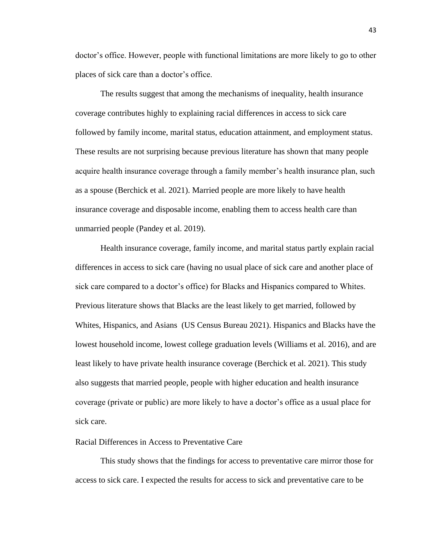doctor's office. However, people with functional limitations are more likely to go to other places of sick care than a doctor's office.

The results suggest that among the mechanisms of inequality, health insurance coverage contributes highly to explaining racial differences in access to sick care followed by family income, marital status, education attainment, and employment status. These results are not surprising because previous literature has shown that many people acquire health insurance coverage through a family member's health insurance plan, such as a spouse (Berchick et al. 2021). Married people are more likely to have health insurance coverage and disposable income, enabling them to access health care than unmarried people (Pandey et al. 2019).

Health insurance coverage, family income, and marital status partly explain racial differences in access to sick care (having no usual place of sick care and another place of sick care compared to a doctor's office) for Blacks and Hispanics compared to Whites. Previous literature shows that Blacks are the least likely to get married, followed by Whites, Hispanics, and Asians (US Census Bureau 2021). Hispanics and Blacks have the lowest household income, lowest college graduation levels (Williams et al. 2016), and are least likely to have private health insurance coverage (Berchick et al. 2021). This study also suggests that married people, people with higher education and health insurance coverage (private or public) are more likely to have a doctor's office as a usual place for sick care.

#### <span id="page-43-0"></span>Racial Differences in Access to Preventative Care

This study shows that the findings for access to preventative care mirror those for access to sick care. I expected the results for access to sick and preventative care to be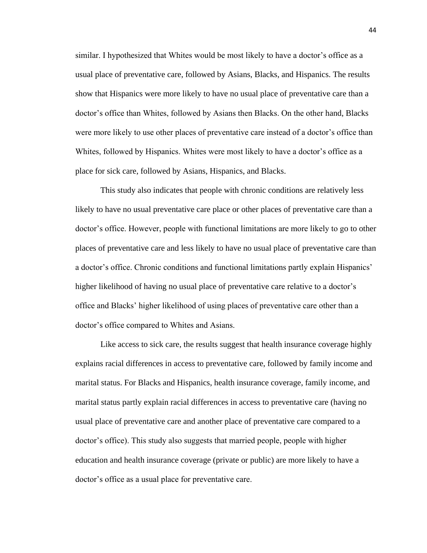similar. I hypothesized that Whites would be most likely to have a doctor's office as a usual place of preventative care, followed by Asians, Blacks, and Hispanics. The results show that Hispanics were more likely to have no usual place of preventative care than a doctor's office than Whites, followed by Asians then Blacks. On the other hand, Blacks were more likely to use other places of preventative care instead of a doctor's office than Whites, followed by Hispanics. Whites were most likely to have a doctor's office as a place for sick care, followed by Asians, Hispanics, and Blacks.

This study also indicates that people with chronic conditions are relatively less likely to have no usual preventative care place or other places of preventative care than a doctor's office. However, people with functional limitations are more likely to go to other places of preventative care and less likely to have no usual place of preventative care than a doctor's office. Chronic conditions and functional limitations partly explain Hispanics' higher likelihood of having no usual place of preventative care relative to a doctor's office and Blacks' higher likelihood of using places of preventative care other than a doctor's office compared to Whites and Asians.

Like access to sick care, the results suggest that health insurance coverage highly explains racial differences in access to preventative care, followed by family income and marital status. For Blacks and Hispanics, health insurance coverage, family income, and marital status partly explain racial differences in access to preventative care (having no usual place of preventative care and another place of preventative care compared to a doctor's office). This study also suggests that married people, people with higher education and health insurance coverage (private or public) are more likely to have a doctor's office as a usual place for preventative care.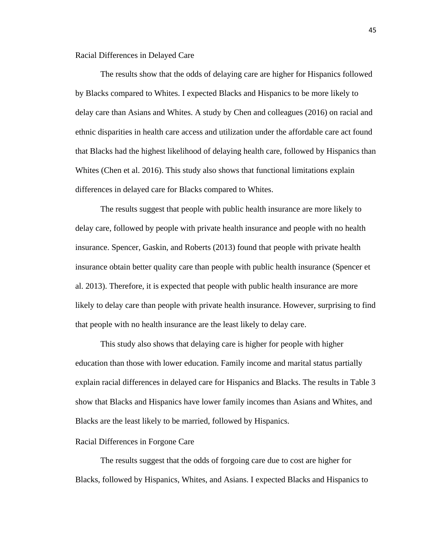<span id="page-45-0"></span>Racial Differences in Delayed Care

The results show that the odds of delaying care are higher for Hispanics followed by Blacks compared to Whites. I expected Blacks and Hispanics to be more likely to delay care than Asians and Whites. A study by Chen and colleagues (2016) on racial and ethnic disparities in health care access and utilization under the affordable care act found that Blacks had the highest likelihood of delaying health care, followed by Hispanics than Whites (Chen et al. 2016). This study also shows that functional limitations explain differences in delayed care for Blacks compared to Whites.

The results suggest that people with public health insurance are more likely to delay care, followed by people with private health insurance and people with no health insurance. Spencer, Gaskin, and Roberts (2013) found that people with private health insurance obtain better quality care than people with public health insurance (Spencer et al. 2013). Therefore, it is expected that people with public health insurance are more likely to delay care than people with private health insurance. However, surprising to find that people with no health insurance are the least likely to delay care.

This study also shows that delaying care is higher for people with higher education than those with lower education. Family income and marital status partially explain racial differences in delayed care for Hispanics and Blacks. The results in Table 3 show that Blacks and Hispanics have lower family incomes than Asians and Whites, and Blacks are the least likely to be married, followed by Hispanics.

#### <span id="page-45-1"></span>Racial Differences in Forgone Care

The results suggest that the odds of forgoing care due to cost are higher for Blacks, followed by Hispanics, Whites, and Asians. I expected Blacks and Hispanics to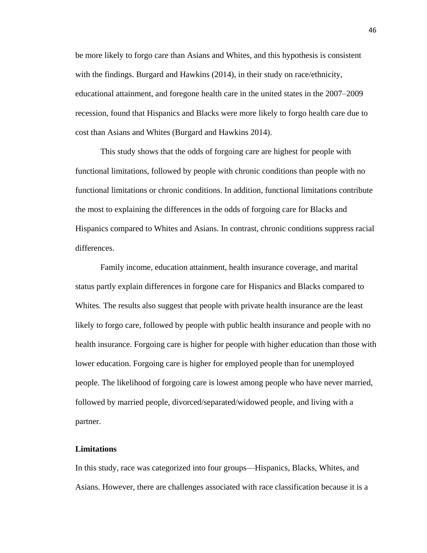be more likely to forgo care than Asians and Whites, and this hypothesis is consistent with the findings. Burgard and Hawkins (2014), in their study on race/ethnicity, educational attainment, and foregone health care in the united states in the 2007–2009 recession, found that Hispanics and Blacks were more likely to forgo health care due to cost than Asians and Whites (Burgard and Hawkins 2014).

This study shows that the odds of forgoing care are highest for people with functional limitations, followed by people with chronic conditions than people with no functional limitations or chronic conditions. In addition, functional limitations contribute the most to explaining the differences in the odds of forgoing care for Blacks and Hispanics compared to Whites and Asians. In contrast, chronic conditions suppress racial differences.

Family income, education attainment, health insurance coverage, and marital status partly explain differences in forgone care for Hispanics and Blacks compared to Whites. The results also suggest that people with private health insurance are the least likely to forgo care, followed by people with public health insurance and people with no health insurance. Forgoing care is higher for people with higher education than those with lower education. Forgoing care is higher for employed people than for unemployed people. The likelihood of forgoing care is lowest among people who have never married, followed by married people, divorced/separated/widowed people, and living with a partner.

#### <span id="page-46-0"></span>**Limitations**

<span id="page-46-1"></span>In this study, race was categorized into four groups—Hispanics, Blacks, Whites, and Asians. However, there are challenges associated with race classification because it is a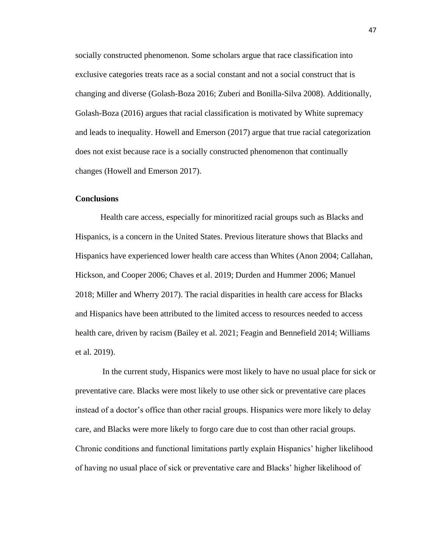socially constructed phenomenon. Some scholars argue that race classification into exclusive categories treats race as a social constant and not a social construct that is changing and diverse (Golash-Boza 2016; Zuberi and Bonilla-Silva 2008). Additionally, Golash-Boza (2016) argues that racial classification is motivated by White supremacy and leads to inequality. Howell and Emerson (2017) argue that true racial categorization does not exist because race is a socially constructed phenomenon that continually changes (Howell and Emerson 2017).

#### **Conclusions**

Health care access, especially for minoritized racial groups such as Blacks and Hispanics, is a concern in the United States. Previous literature shows that Blacks and Hispanics have experienced lower health care access than Whites (Anon 2004; Callahan, Hickson, and Cooper 2006; Chaves et al. 2019; Durden and Hummer 2006; Manuel 2018; Miller and Wherry 2017). The racial disparities in health care access for Blacks and Hispanics have been attributed to the limited access to resources needed to access health care, driven by racism (Bailey et al. 2021; Feagin and Bennefield 2014; Williams et al. 2019).

In the current study, Hispanics were most likely to have no usual place for sick or preventative care. Blacks were most likely to use other sick or preventative care places instead of a doctor's office than other racial groups. Hispanics were more likely to delay care, and Blacks were more likely to forgo care due to cost than other racial groups. Chronic conditions and functional limitations partly explain Hispanics' higher likelihood of having no usual place of sick or preventative care and Blacks' higher likelihood of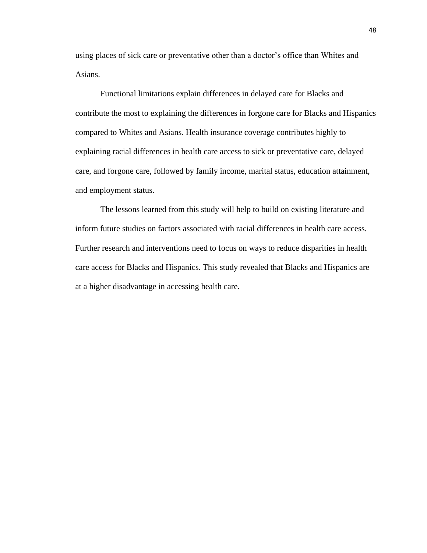using places of sick care or preventative other than a doctor's office than Whites and Asians.

Functional limitations explain differences in delayed care for Blacks and contribute the most to explaining the differences in forgone care for Blacks and Hispanics compared to Whites and Asians. Health insurance coverage contributes highly to explaining racial differences in health care access to sick or preventative care, delayed care, and forgone care, followed by family income, marital status, education attainment, and employment status.

The lessons learned from this study will help to build on existing literature and inform future studies on factors associated with racial differences in health care access. Further research and interventions need to focus on ways to reduce disparities in health care access for Blacks and Hispanics. This study revealed that Blacks and Hispanics are at a higher disadvantage in accessing health care.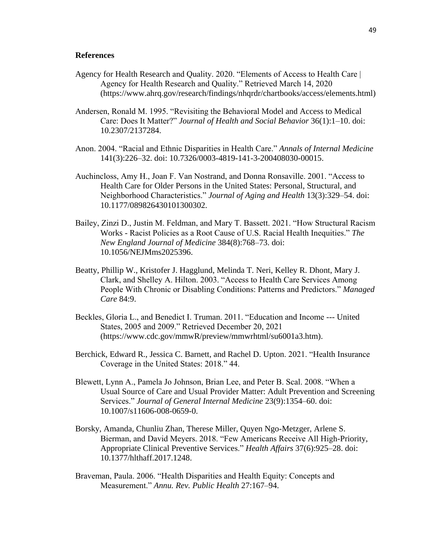#### <span id="page-49-0"></span>**References**

- Agency for Health Research and Quality. 2020. "Elements of Access to Health Care | Agency for Health Research and Quality." Retrieved March 14, 2020 (https://www.ahrq.gov/research/findings/nhqrdr/chartbooks/access/elements.html)
- Andersen, Ronald M. 1995. "Revisiting the Behavioral Model and Access to Medical Care: Does It Matter?" *Journal of Health and Social Behavior* 36(1):1–10. doi: 10.2307/2137284.
- Anon. 2004. "Racial and Ethnic Disparities in Health Care." *Annals of Internal Medicine* 141(3):226–32. doi: 10.7326/0003-4819-141-3-200408030-00015.
- Auchincloss, Amy H., Joan F. Van Nostrand, and Donna Ronsaville. 2001. "Access to Health Care for Older Persons in the United States: Personal, Structural, and Neighborhood Characteristics." *Journal of Aging and Health* 13(3):329–54. doi: 10.1177/089826430101300302.
- Bailey, Zinzi D., Justin M. Feldman, and Mary T. Bassett. 2021. "How Structural Racism Works - Racist Policies as a Root Cause of U.S. Racial Health Inequities." *The New England Journal of Medicine* 384(8):768–73. doi: 10.1056/NEJMms2025396.
- Beatty, Phillip W., Kristofer J. Hagglund, Melinda T. Neri, Kelley R. Dhont, Mary J. Clark, and Shelley A. Hilton. 2003. "Access to Health Care Services Among People With Chronic or Disabling Conditions: Patterns and Predictors." *Managed Care* 84:9.
- Beckles, Gloria L., and Benedict I. Truman. 2011. "Education and Income --- United States, 2005 and 2009." Retrieved December 20, 2021 (https://www.cdc.gov/mmwR/preview/mmwrhtml/su6001a3.htm).
- Berchick, Edward R., Jessica C. Barnett, and Rachel D. Upton. 2021. "Health Insurance Coverage in the United States: 2018." 44.
- Blewett, Lynn A., Pamela Jo Johnson, Brian Lee, and Peter B. Scal. 2008. "When a Usual Source of Care and Usual Provider Matter: Adult Prevention and Screening Services." *Journal of General Internal Medicine* 23(9):1354–60. doi: 10.1007/s11606-008-0659-0.
- Borsky, Amanda, Chunliu Zhan, Therese Miller, Quyen Ngo-Metzger, Arlene S. Bierman, and David Meyers. 2018. "Few Americans Receive All High-Priority, Appropriate Clinical Preventive Services." *Health Affairs* 37(6):925–28. doi: 10.1377/hlthaff.2017.1248.
- Braveman, Paula. 2006. "Health Disparities and Health Equity: Concepts and Measurement." *Annu. Rev. Public Health* 27:167–94.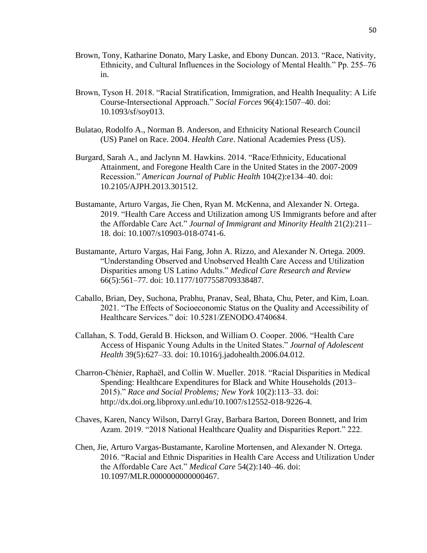- Brown, Tony, Katharine Donato, Mary Laske, and Ebony Duncan. 2013. "Race, Nativity, Ethnicity, and Cultural Influences in the Sociology of Mental Health." Pp. 255–76 in.
- Brown, Tyson H. 2018. "Racial Stratification, Immigration, and Health Inequality: A Life Course-Intersectional Approach." *Social Forces* 96(4):1507–40. doi: 10.1093/sf/soy013.
- Bulatao, Rodolfo A., Norman B. Anderson, and Ethnicity National Research Council (US) Panel on Race. 2004. *Health Care*. National Academies Press (US).
- Burgard, Sarah A., and Jaclynn M. Hawkins. 2014. "Race/Ethnicity, Educational Attainment, and Foregone Health Care in the United States in the 2007-2009 Recession." *American Journal of Public Health* 104(2):e134–40. doi: 10.2105/AJPH.2013.301512.
- Bustamante, Arturo Vargas, Jie Chen, Ryan M. McKenna, and Alexander N. Ortega. 2019. "Health Care Access and Utilization among US Immigrants before and after the Affordable Care Act." *Journal of Immigrant and Minority Health* 21(2):211– 18. doi: 10.1007/s10903-018-0741-6.
- Bustamante, Arturo Vargas, Hai Fang, John A. Rizzo, and Alexander N. Ortega. 2009. "Understanding Observed and Unobserved Health Care Access and Utilization Disparities among US Latino Adults." *Medical Care Research and Review* 66(5):561–77. doi: 10.1177/1077558709338487.
- Caballo, Brian, Dey, Suchona, Prabhu, Pranav, Seal, Bhata, Chu, Peter, and Kim, Loan. 2021. "The Effects of Socioeconomic Status on the Quality and Accessibility of Healthcare Services." doi: 10.5281/ZENODO.4740684.
- Callahan, S. Todd, Gerald B. Hickson, and William O. Cooper. 2006. "Health Care Access of Hispanic Young Adults in the United States." *Journal of Adolescent Health* 39(5):627–33. doi: 10.1016/j.jadohealth.2006.04.012.
- Charron-Chénier, Raphaël, and Collin W. Mueller. 2018. "Racial Disparities in Medical Spending: Healthcare Expenditures for Black and White Households (2013– 2015)." *Race and Social Problems; New York* 10(2):113–33. doi: http://dx.doi.org.libproxy.unl.edu/10.1007/s12552-018-9226-4.
- Chaves, Karen, Nancy Wilson, Darryl Gray, Barbara Barton, Doreen Bonnett, and Irim Azam. 2019. "2018 National Healthcare Quality and Disparities Report." 222.
- Chen, Jie, Arturo Vargas-Bustamante, Karoline Mortensen, and Alexander N. Ortega. 2016. "Racial and Ethnic Disparities in Health Care Access and Utilization Under the Affordable Care Act." *Medical Care* 54(2):140–46. doi: 10.1097/MLR.0000000000000467.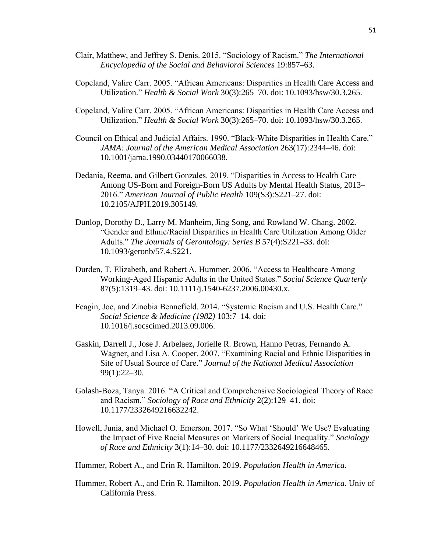- Clair, Matthew, and Jeffrey S. Denis. 2015. "Sociology of Racism." *The International Encyclopedia of the Social and Behavioral Sciences* 19:857–63.
- Copeland, Valire Carr. 2005. "African Americans: Disparities in Health Care Access and Utilization." *Health & Social Work* 30(3):265–70. doi: 10.1093/hsw/30.3.265.
- Copeland, Valire Carr. 2005. "African Americans: Disparities in Health Care Access and Utilization." *Health & Social Work* 30(3):265–70. doi: 10.1093/hsw/30.3.265.
- Council on Ethical and Judicial Affairs. 1990. "Black-White Disparities in Health Care." *JAMA: Journal of the American Medical Association* 263(17):2344–46. doi: 10.1001/jama.1990.03440170066038.
- Dedania, Reema, and Gilbert Gonzales. 2019. "Disparities in Access to Health Care Among US-Born and Foreign-Born US Adults by Mental Health Status, 2013– 2016." *American Journal of Public Health* 109(S3):S221–27. doi: 10.2105/AJPH.2019.305149.
- Dunlop, Dorothy D., Larry M. Manheim, Jing Song, and Rowland W. Chang. 2002. "Gender and Ethnic/Racial Disparities in Health Care Utilization Among Older Adults." *The Journals of Gerontology: Series B* 57(4):S221–33. doi: 10.1093/geronb/57.4.S221.
- Durden, T. Elizabeth, and Robert A. Hummer. 2006. "Access to Healthcare Among Working-Aged Hispanic Adults in the United States." *Social Science Quarterly* 87(5):1319–43. doi: 10.1111/j.1540-6237.2006.00430.x.
- Feagin, Joe, and Zinobia Bennefield. 2014. "Systemic Racism and U.S. Health Care." *Social Science & Medicine (1982)* 103:7–14. doi: 10.1016/j.socscimed.2013.09.006.
- Gaskin, Darrell J., Jose J. Arbelaez, Jorielle R. Brown, Hanno Petras, Fernando A. Wagner, and Lisa A. Cooper. 2007. "Examining Racial and Ethnic Disparities in Site of Usual Source of Care." *Journal of the National Medical Association* 99(1):22–30.
- Golash-Boza, Tanya. 2016. "A Critical and Comprehensive Sociological Theory of Race and Racism." *Sociology of Race and Ethnicity* 2(2):129–41. doi: 10.1177/2332649216632242.
- Howell, Junia, and Michael O. Emerson. 2017. "So What 'Should' We Use? Evaluating the Impact of Five Racial Measures on Markers of Social Inequality." *Sociology of Race and Ethnicity* 3(1):14–30. doi: 10.1177/2332649216648465.
- Hummer, Robert A., and Erin R. Hamilton. 2019. *Population Health in America*.
- Hummer, Robert A., and Erin R. Hamilton. 2019. *Population Health in America*. Univ of California Press.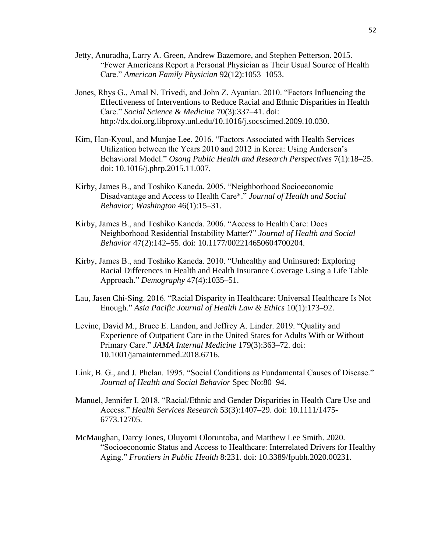- Jetty, Anuradha, Larry A. Green, Andrew Bazemore, and Stephen Petterson. 2015. "Fewer Americans Report a Personal Physician as Their Usual Source of Health Care." *American Family Physician* 92(12):1053–1053.
- Jones, Rhys G., Amal N. Trivedi, and John Z. Ayanian. 2010. "Factors Influencing the Effectiveness of Interventions to Reduce Racial and Ethnic Disparities in Health Care." *Social Science & Medicine* 70(3):337–41. doi: http://dx.doi.org.libproxy.unl.edu/10.1016/j.socscimed.2009.10.030.
- Kim, Han-Kyoul, and Munjae Lee. 2016. "Factors Associated with Health Services Utilization between the Years 2010 and 2012 in Korea: Using Andersen's Behavioral Model." *Osong Public Health and Research Perspectives* 7(1):18–25. doi: 10.1016/j.phrp.2015.11.007.
- Kirby, James B., and Toshiko Kaneda. 2005. "Neighborhood Socioeconomic Disadvantage and Access to Health Care\*." *Journal of Health and Social Behavior; Washington* 46(1):15–31.
- Kirby, James B., and Toshiko Kaneda. 2006. "Access to Health Care: Does Neighborhood Residential Instability Matter?" *Journal of Health and Social Behavior* 47(2):142–55. doi: 10.1177/002214650604700204.
- Kirby, James B., and Toshiko Kaneda. 2010. "Unhealthy and Uninsured: Exploring Racial Differences in Health and Health Insurance Coverage Using a Life Table Approach." *Demography* 47(4):1035–51.
- Lau, Jasen Chi-Sing. 2016. "Racial Disparity in Healthcare: Universal Healthcare Is Not Enough." *Asia Pacific Journal of Health Law & Ethics* 10(1):173–92.
- Levine, David M., Bruce E. Landon, and Jeffrey A. Linder. 2019. "Quality and Experience of Outpatient Care in the United States for Adults With or Without Primary Care." *JAMA Internal Medicine* 179(3):363–72. doi: 10.1001/jamainternmed.2018.6716.
- Link, B. G., and J. Phelan. 1995. "Social Conditions as Fundamental Causes of Disease." *Journal of Health and Social Behavior* Spec No:80–94.
- Manuel, Jennifer I. 2018. "Racial/Ethnic and Gender Disparities in Health Care Use and Access." *Health Services Research* 53(3):1407–29. doi: 10.1111/1475- 6773.12705.
- McMaughan, Darcy Jones, Oluyomi Oloruntoba, and Matthew Lee Smith. 2020. "Socioeconomic Status and Access to Healthcare: Interrelated Drivers for Healthy Aging." *Frontiers in Public Health* 8:231. doi: 10.3389/fpubh.2020.00231.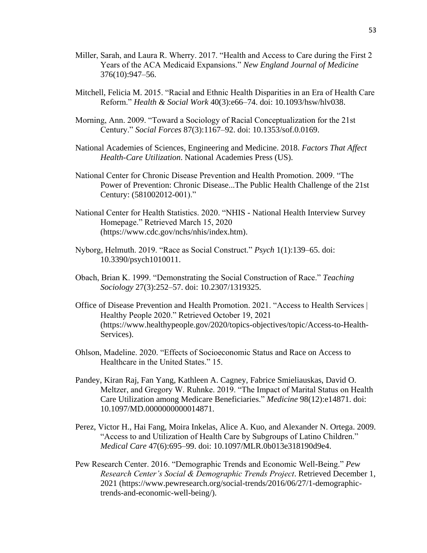- Miller, Sarah, and Laura R. Wherry. 2017. "Health and Access to Care during the First 2 Years of the ACA Medicaid Expansions." *New England Journal of Medicine* 376(10):947–56.
- Mitchell, Felicia M. 2015. "Racial and Ethnic Health Disparities in an Era of Health Care Reform." *Health & Social Work* 40(3):e66–74. doi: 10.1093/hsw/hlv038.
- Morning, Ann. 2009. "Toward a Sociology of Racial Conceptualization for the 21st Century." *Social Forces* 87(3):1167–92. doi: 10.1353/sof.0.0169.
- National Academies of Sciences, Engineering and Medicine. 2018. *Factors That Affect Health-Care Utilization*. National Academies Press (US).
- National Center for Chronic Disease Prevention and Health Promotion. 2009. "The Power of Prevention: Chronic Disease...The Public Health Challenge of the 21st Century: (581002012-001)."
- National Center for Health Statistics. 2020. "NHIS National Health Interview Survey Homepage." Retrieved March 15, 2020 (https://www.cdc.gov/nchs/nhis/index.htm).
- Nyborg, Helmuth. 2019. "Race as Social Construct." *Psych* 1(1):139–65. doi: 10.3390/psych1010011.
- Obach, Brian K. 1999. "Demonstrating the Social Construction of Race." *Teaching Sociology* 27(3):252–57. doi: 10.2307/1319325.
- Office of Disease Prevention and Health Promotion. 2021. "Access to Health Services | Healthy People 2020." Retrieved October 19, 2021 (https://www.healthypeople.gov/2020/topics-objectives/topic/Access-to-Health-Services).
- Ohlson, Madeline. 2020. "Effects of Socioeconomic Status and Race on Access to Healthcare in the United States." 15.
- Pandey, Kiran Raj, Fan Yang, Kathleen A. Cagney, Fabrice Smieliauskas, David O. Meltzer, and Gregory W. Ruhnke. 2019. "The Impact of Marital Status on Health Care Utilization among Medicare Beneficiaries." *Medicine* 98(12):e14871. doi: 10.1097/MD.0000000000014871.
- Perez, Victor H., Hai Fang, Moira Inkelas, Alice A. Kuo, and Alexander N. Ortega. 2009. "Access to and Utilization of Health Care by Subgroups of Latino Children." *Medical Care* 47(6):695–99. doi: 10.1097/MLR.0b013e318190d9e4.
- Pew Research Center. 2016. "Demographic Trends and Economic Well-Being." *Pew Research Center's Social & Demographic Trends Project*. Retrieved December 1, 2021 (https://www.pewresearch.org/social-trends/2016/06/27/1-demographictrends-and-economic-well-being/).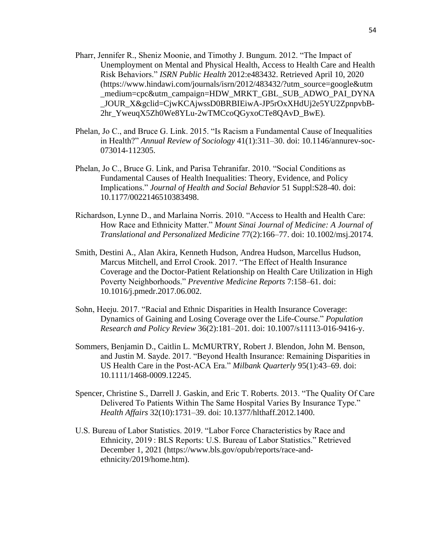- Pharr, Jennifer R., Sheniz Moonie, and Timothy J. Bungum. 2012. "The Impact of Unemployment on Mental and Physical Health, Access to Health Care and Health Risk Behaviors." *ISRN Public Health* 2012:e483432. Retrieved April 10, 2020 (https://www.hindawi.com/journals/isrn/2012/483432/?utm\_source=google&utm \_medium=cpc&utm\_campaign=HDW\_MRKT\_GBL\_SUB\_ADWO\_PAI\_DYNA \_JOUR\_X&gclid=CjwKCAjwssD0BRBIEiwA-JP5rOxXHdUj2e5YU2ZpnpvbB-2hr\_YweuqX5Zh0We8YLu-2wTMCcoQGyxoCTe8QAvD\_BwE).
- Phelan, Jo C., and Bruce G. Link. 2015. "Is Racism a Fundamental Cause of Inequalities in Health?" *Annual Review of Sociology* 41(1):311–30. doi: 10.1146/annurev-soc-073014-112305.
- Phelan, Jo C., Bruce G. Link, and Parisa Tehranifar. 2010. "Social Conditions as Fundamental Causes of Health Inequalities: Theory, Evidence, and Policy Implications." *Journal of Health and Social Behavior* 51 Suppl:S28-40. doi: 10.1177/0022146510383498.
- Richardson, Lynne D., and Marlaina Norris. 2010. "Access to Health and Health Care: How Race and Ethnicity Matter." *Mount Sinai Journal of Medicine: A Journal of Translational and Personalized Medicine* 77(2):166–77. doi: 10.1002/msj.20174.
- Smith, Destini A., Alan Akira, Kenneth Hudson, Andrea Hudson, Marcellus Hudson, Marcus Mitchell, and Errol Crook. 2017. "The Effect of Health Insurance Coverage and the Doctor-Patient Relationship on Health Care Utilization in High Poverty Neighborhoods." *Preventive Medicine Reports* 7:158–61. doi: 10.1016/j.pmedr.2017.06.002.
- Sohn, Heeju. 2017. "Racial and Ethnic Disparities in Health Insurance Coverage: Dynamics of Gaining and Losing Coverage over the Life-Course." *Population Research and Policy Review* 36(2):181–201. doi: 10.1007/s11113-016-9416-y.
- Sommers, Benjamin D., Caitlin L. McMURTRY, Robert J. Blendon, John M. Benson, and Justin M. Sayde. 2017. "Beyond Health Insurance: Remaining Disparities in US Health Care in the Post-ACA Era." *Milbank Quarterly* 95(1):43–69. doi: 10.1111/1468-0009.12245.
- Spencer, Christine S., Darrell J. Gaskin, and Eric T. Roberts. 2013. "The Quality Of Care Delivered To Patients Within The Same Hospital Varies By Insurance Type." *Health Affairs* 32(10):1731–39. doi: 10.1377/hlthaff.2012.1400.
- U.S. Bureau of Labor Statistics. 2019. "Labor Force Characteristics by Race and Ethnicity, 2019 : BLS Reports: U.S. Bureau of Labor Statistics." Retrieved December 1, 2021 (https://www.bls.gov/opub/reports/race-andethnicity/2019/home.htm).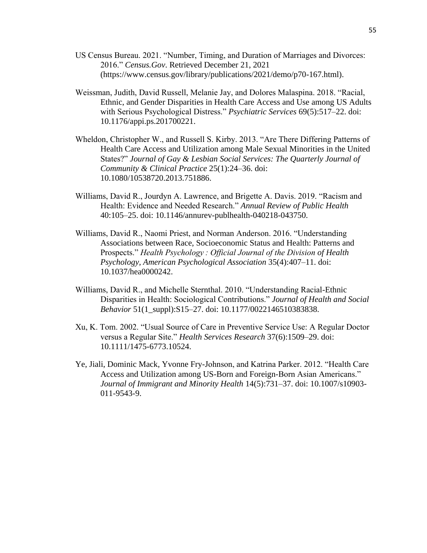- US Census Bureau. 2021. "Number, Timing, and Duration of Marriages and Divorces: 2016." *Census.Gov*. Retrieved December 21, 2021 (https://www.census.gov/library/publications/2021/demo/p70-167.html).
- Weissman, Judith, David Russell, Melanie Jay, and Dolores Malaspina. 2018. "Racial, Ethnic, and Gender Disparities in Health Care Access and Use among US Adults with Serious Psychological Distress." *Psychiatric Services* 69(5):517–22. doi: 10.1176/appi.ps.201700221.
- Wheldon, Christopher W., and Russell S. Kirby. 2013. "Are There Differing Patterns of Health Care Access and Utilization among Male Sexual Minorities in the United States?" *Journal of Gay & Lesbian Social Services: The Quarterly Journal of Community & Clinical Practice* 25(1):24–36. doi: 10.1080/10538720.2013.751886.
- Williams, David R., Jourdyn A. Lawrence, and Brigette A. Davis. 2019. "Racism and Health: Evidence and Needed Research." *Annual Review of Public Health* 40:105–25. doi: 10.1146/annurev-publhealth-040218-043750.
- Williams, David R., Naomi Priest, and Norman Anderson. 2016. "Understanding Associations between Race, Socioeconomic Status and Health: Patterns and Prospects." *Health Psychology : Official Journal of the Division of Health Psychology, American Psychological Association* 35(4):407–11. doi: 10.1037/hea0000242.
- Williams, David R., and Michelle Sternthal. 2010. "Understanding Racial-Ethnic Disparities in Health: Sociological Contributions." *Journal of Health and Social Behavior* 51(1\_suppl):S15–27. doi: 10.1177/0022146510383838.
- Xu, K. Tom. 2002. "Usual Source of Care in Preventive Service Use: A Regular Doctor versus a Regular Site." *Health Services Research* 37(6):1509–29. doi: 10.1111/1475-6773.10524.
- Ye, Jiali, Dominic Mack, Yvonne Fry-Johnson, and Katrina Parker. 2012. "Health Care Access and Utilization among US-Born and Foreign-Born Asian Americans." *Journal of Immigrant and Minority Health* 14(5):731–37. doi: 10.1007/s10903- 011-9543-9.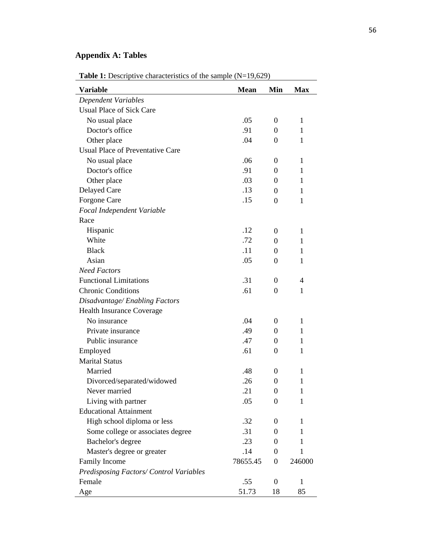# <span id="page-56-0"></span>**Appendix A: Tables**

| <b>Variable</b>                         | <b>Mean</b> | Min              | <b>Max</b>     |
|-----------------------------------------|-------------|------------------|----------------|
| <b>Dependent Variables</b>              |             |                  |                |
| <b>Usual Place of Sick Care</b>         |             |                  |                |
| No usual place                          | .05         | $\boldsymbol{0}$ | $\mathbf{1}$   |
| Doctor's office                         | .91         | 0                | $\mathbf{1}$   |
| Other place                             | .04         | 0                | $\mathbf{1}$   |
| Usual Place of Preventative Care        |             |                  |                |
| No usual place                          | .06         | 0                | 1              |
| Doctor's office                         | .91         | $\overline{0}$   | $\mathbf{1}$   |
| Other place                             | .03         | 0                | 1              |
| Delayed Care                            | .13         | 0                | $\mathbf{1}$   |
| Forgone Care                            | .15         | $\overline{0}$   | 1              |
| Focal Independent Variable              |             |                  |                |
| Race                                    |             |                  |                |
| Hispanic                                | .12         | 0                | 1              |
| White                                   | .72         | $\overline{0}$   | $\mathbf{1}$   |
| <b>Black</b>                            | .11         | $\theta$         | 1              |
| Asian                                   | .05         | 0                | 1              |
| <b>Need Factors</b>                     |             |                  |                |
| <b>Functional Limitations</b>           | .31         | 0                | $\overline{4}$ |
| <b>Chronic Conditions</b>               | .61         | $\overline{0}$   | 1              |
| Disadvantage/Enabling Factors           |             |                  |                |
| Health Insurance Coverage               |             |                  |                |
| No insurance                            | .04         | 0                | 1              |
| Private insurance                       | .49         | 0                | $\mathbf{1}$   |
| Public insurance                        | .47         | 0                | 1              |
| Employed                                | .61         | 0                | 1              |
| <b>Marital Status</b>                   |             |                  |                |
| Married                                 | .48         | 0                | 1              |
| Divorced/separated/widowed              | .26         | 0                | $\mathbf{1}$   |
| Never married                           | 21          | 0                | 1              |
| Living with partner                     | .05         | 0                | 1              |
| <b>Educational Attainment</b>           |             |                  |                |
| High school diploma or less             | .32         | 0                | 1              |
| Some college or associates degree       | .31         | $\boldsymbol{0}$ | 1              |
| Bachelor's degree                       | .23         | 0                | 1              |
| Master's degree or greater              | .14         | $\boldsymbol{0}$ | $\mathbf{1}$   |
| <b>Family Income</b>                    | 78655.45    | $\boldsymbol{0}$ | 246000         |
| Predisposing Factors/ Control Variables |             |                  |                |
| Female                                  | .55         | $\boldsymbol{0}$ | 1              |
| Age                                     | 51.73       | 18               | 85             |

Table 1: Descriptive characteristics of the sample (N=19,629)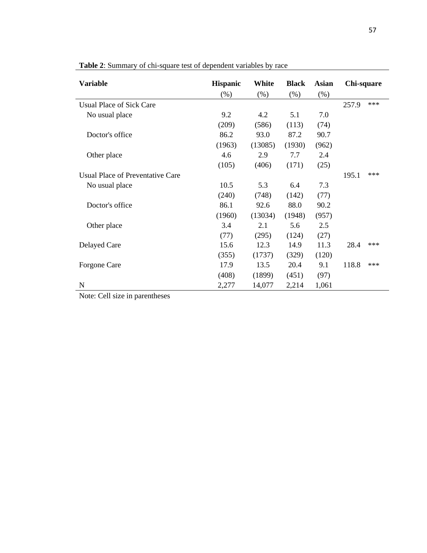| <b>Variable</b>                  | <b>Hispanic</b> | White   | <b>Black</b> | <b>Asian</b> | Chi-square |       |
|----------------------------------|-----------------|---------|--------------|--------------|------------|-------|
|                                  | $(\% )$         | (% )    | (% )         | (% )         |            |       |
| Usual Place of Sick Care         |                 |         |              |              | 257.9      | $***$ |
| No usual place                   | 9.2             | 4.2     | 5.1          | 7.0          |            |       |
|                                  | (209)           | (586)   | (113)        | (74)         |            |       |
| Doctor's office                  | 86.2            | 93.0    | 87.2         | 90.7         |            |       |
|                                  | (1963)          | (13085) | (1930)       | (962)        |            |       |
| Other place                      | 4.6             | 2.9     | 7.7          | 2.4          |            |       |
|                                  | (105)           | (406)   | (171)        | (25)         |            |       |
| Usual Place of Preventative Care |                 |         |              |              | 195.1      | $***$ |
| No usual place                   | 10.5            | 5.3     | 6.4          | 7.3          |            |       |
|                                  | (240)           | (748)   | (142)        | (77)         |            |       |
| Doctor's office                  | 86.1            | 92.6    | 88.0         | 90.2         |            |       |
|                                  | (1960)          | (13034) | (1948)       | (957)        |            |       |
| Other place                      | 3.4             | 2.1     | 5.6          | 2.5          |            |       |
|                                  | (77)            | (295)   | (124)        | (27)         |            |       |
| Delayed Care                     | 15.6            | 12.3    | 14.9         | 11.3         | 28.4       | $***$ |
|                                  | (355)           | (1737)  | (329)        | (120)        |            |       |
| Forgone Care                     | 17.9            | 13.5    | 20.4         | 9.1          | 118.8      | ***   |
|                                  | (408)           | (1899)  | (451)        | (97)         |            |       |
| N                                | 2,277           | 14,077  | 2,214        | 1,061        |            |       |

**Table 2**: Summary of chi-square test of dependent variables by race

Note: Cell size in parentheses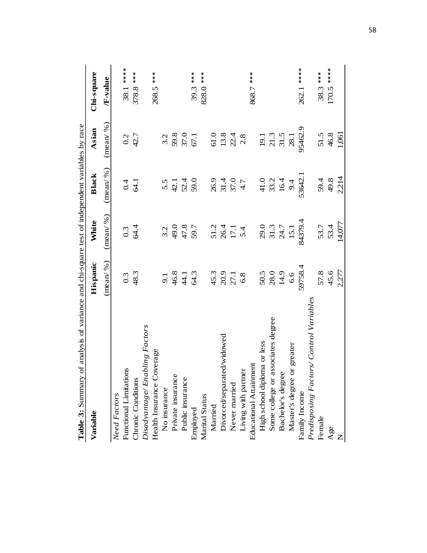| of analysis of variance and chi-square test of independent variables by race<br>Table 3: Sunnnary |                       |                              |                                     |                                                             |             |
|---------------------------------------------------------------------------------------------------|-----------------------|------------------------------|-------------------------------------|-------------------------------------------------------------|-------------|
| Variable                                                                                          | Hispanic              | White                        | <b>Black</b>                        | Asian                                                       | Chi-square  |
|                                                                                                   | $($ mean $/$ % $)$    | $($ mean $/$ % $)$           | $($ mean $/$ % $)$                  | $($ mean $/$ % $)$                                          | /F-value    |
| <b>Need Factors</b>                                                                               |                       |                              |                                     |                                                             |             |
| Functional Limitations                                                                            | $0.\overline{3}$      | 0.3                          | 0.4                                 | 0.2                                                         | 38.1 *****  |
| Chronic Conditions                                                                                | 48.3                  | 64.4                         | $\overline{a}$ .                    | 42.7                                                        | 378.8 ***   |
| Disadvantage/Enabling Factors                                                                     |                       |                              |                                     |                                                             |             |
| Health Insurance Coverage                                                                         |                       |                              |                                     |                                                             | 268.5 ***   |
| No insurance                                                                                      |                       | 3.2                          |                                     | 3.2                                                         |             |
| Private insurance                                                                                 | $9.1$<br>46.3<br>44.3 | $7.65$<br>3.74<br>3.9.7      | 5.5<br>42.1<br>59.0                 |                                                             |             |
| Public insurance                                                                                  |                       |                              |                                     | 59.8<br>37.0                                                |             |
| Employed                                                                                          |                       |                              |                                     | 67.1                                                        | 39.3 ***    |
| Marital Status                                                                                    |                       |                              |                                     |                                                             | 828.0 ***   |
| Married                                                                                           |                       |                              |                                     |                                                             |             |
| Divorced/separated/widowed                                                                        | 45.3<br>20.9<br>27.1  | 51.2<br>26.4<br>17.1<br>5.4  | $26.9$<br>$31.4$<br>$37.7$<br>$4.7$ | 61.0<br>13.8<br>22.4                                        |             |
| Never married                                                                                     |                       |                              |                                     |                                                             |             |
| Living with partner                                                                               | 6.8                   |                              |                                     | 2.8                                                         |             |
| Educational Attainment                                                                            |                       |                              |                                     |                                                             | 868.7 ***   |
| High school diploma or less                                                                       |                       |                              |                                     |                                                             |             |
| Some college or associates degree                                                                 | $50.5$ $28.0$         |                              |                                     |                                                             |             |
| Bachelor's degree                                                                                 | 14.9                  | 29.0<br>31.3<br>24.7<br>15.1 | $41.0$<br>$33.2$<br>$16.4$          | $\begin{array}{c} 19.1 \\ 21.3 \\ 31.5 \\ 28.1 \end{array}$ |             |
| Master's degree or greater                                                                        | 6.6                   |                              | 9.4                                 |                                                             |             |
| Family Income                                                                                     | 59758.4               | 84379.4                      | 53642.1                             | 95462.9                                                     | 262.1 ***** |
| Predisposing Factors/Control Variables                                                            |                       |                              |                                     |                                                             |             |
| Female                                                                                            | 57.8                  | 53.7                         | 59.4                                | 51.5                                                        | 38.3 ***    |
| Age                                                                                               | 45.6                  | 53.4                         | 49.8                                | 46.8                                                        | $170.5***$  |
| $\overline{z}$                                                                                    | 2,277                 | 14,077                       | 2,214                               | 1,061                                                       |             |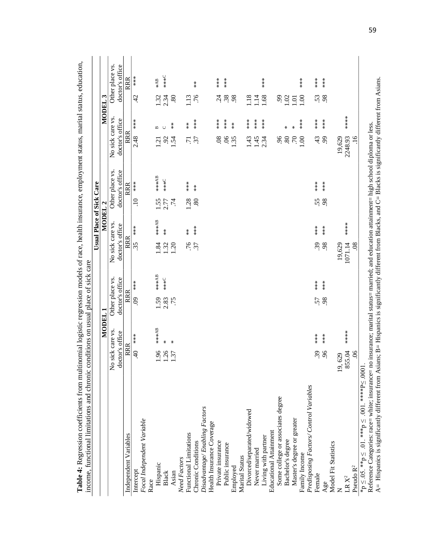|                                        |                           |                    |                   |              |                      | Usual Place of Sick Care |                 |                      |                  |                   |                    |                   |
|----------------------------------------|---------------------------|--------------------|-------------------|--------------|----------------------|--------------------------|-----------------|----------------------|------------------|-------------------|--------------------|-------------------|
|                                        |                           | MODEL <sub>1</sub> |                   |              |                      | MODEL <sub>2</sub>       |                 |                      |                  |                   | MODEL <sub>3</sub> |                   |
|                                        | No sick care vs.          |                    | Other place vs.   |              | No sick care vs.     |                          |                 | Other place vs.      | No sick care vs. |                   |                    | Other place vs.   |
|                                        | doctor's office           |                    | doctor's office   |              | doctor's office      |                          |                 | doctor's office      | doctor's office  |                   |                    | doctor's office   |
| Independent Variables                  | RRR                       |                    | RRR               |              | <b>RRR</b>           |                          |                 | RRR                  | <b>RRR</b>       |                   |                    | RRR               |
| Intercept                              | $\overline{4}$            | ***                | $\ddot{\text{S}}$ | $***$        | 35                   | $***$                    | $\Xi$           | $***$                | 2.48             | $***$             | $\overline{d}$     | $***$             |
| Focal Independent Variable             |                           |                    |                   |              |                      |                          |                 |                      |                  |                   |                    |                   |
| Race                                   |                           |                    |                   |              |                      |                          |                 |                      |                  |                   |                    |                   |
| Hispanic                               | 1.96                      | ****AB             | 1.59              | ****B        | $\ddot{\phantom{0}}$ | 4***4B                   | 1.55            | ****AB               | $\overline{21}$  | $\mathbf{m}$      | 1.32               | *AB               |
| Black                                  | .26                       | ∗                  | 2.83              | <b>C***</b>  | 1.32                 | $\stackrel{*}{\ast}$     | 2.77            | <b>C***</b>          | 92               | $\cup$            | 2.34               | $X**$             |
| Asian                                  | 1.37                      | ⋇                  | .75               |              | 1.20                 |                          | $\overline{74}$ |                      | 1.54             | $\stackrel{*}{*}$ | .80                |                   |
| Need Factors                           |                           |                    |                   |              |                      |                          |                 |                      |                  |                   |                    |                   |
| Functional Limitations                 |                           |                    |                   |              | .76                  | $\stackrel{*}{\ast}$     | 1.28            | ***                  | $\overline{.71}$ | $\stackrel{*}{*}$ | 1.13               |                   |
| Chronic Conditions                     |                           |                    |                   |              | 37                   | $***$                    | 80              | $\stackrel{*}{\ast}$ | 37               | $***$             | .76                | $\stackrel{*}{*}$ |
| Disadvantage/Enabling Factors          |                           |                    |                   |              |                      |                          |                 |                      |                  |                   |                    |                   |
| Health Insurance Coverage              |                           |                    |                   |              |                      |                          |                 |                      |                  |                   |                    |                   |
| Private insurance                      |                           |                    |                   |              |                      |                          |                 |                      | 08               |                   | $\ddot{c}$         | $***$             |
| Public insurance                       |                           |                    |                   |              |                      |                          |                 |                      | 06               | $***$             | .38                | $**$<br>$**$      |
| Employed                               |                           |                    |                   |              |                      |                          |                 |                      | 1.35             | $\stackrel{*}{*}$ | 98                 |                   |
| Marital Status                         |                           |                    |                   |              |                      |                          |                 |                      |                  |                   |                    |                   |
| Divorced/separated/widowed             |                           |                    |                   |              |                      |                          |                 |                      | 1.43             | $***$             | 1.18               |                   |
| Never married                          |                           |                    |                   |              |                      |                          |                 |                      | 1.45             | $***$             | 1.14               |                   |
| Living with partner                    |                           |                    |                   |              |                      |                          |                 |                      | 2.34             | ***               | 1.68               | $***$             |
| <b>Educational Attainment</b>          |                           |                    |                   |              |                      |                          |                 |                      |                  |                   |                    |                   |
| Some college or associates degree      |                           |                    |                   |              |                      |                          |                 |                      | 96               |                   | $\ddot{\theta}$    |                   |
| Bachelor's degree                      |                           |                    |                   |              |                      |                          |                 |                      | 80               | ₩                 | 02                 |                   |
| Master's degree or greater             |                           |                    |                   |              |                      |                          |                 |                      | .70              | ∗                 | 1.01               |                   |
| Family Income                          |                           |                    |                   |              |                      |                          |                 |                      | 1.00             | $***$             | 0.1                | $***$             |
| Predisposing Factors/Control Variables |                           |                    |                   |              |                      |                          |                 |                      |                  |                   |                    |                   |
| Female                                 | 39                        | $***$              | 57                | $**$<br>$**$ | 39                   | $**$<br>$*$              | 55.             | $**\ast$             | 43               | $***$             | 53                 | $**$<br>$**$      |
| Age                                    | $\widetilde{6}$           | $***$              | 98                | $***$        | 98                   | $***$                    | 98              | ***                  | 99               | ***               | 98                 | ***               |
| Model Fit Statistics                   |                           |                    |                   |              |                      |                          |                 |                      |                  |                   |                    |                   |
|                                        | 629<br>$\overline{19}$    |                    |                   |              | 19,629               |                          |                 |                      | 19,629           |                   |                    |                   |
| ${\rm LR}\ {\rm X}^2$                  | 55.04<br>$\infty$         | ****               |                   |              | 1071.14              | ****                     |                 |                      | 2248.93          | ****              |                    |                   |
| Pseudo $\mathbf{R}^2$                  | $\widetilde{\mathcal{O}}$ |                    |                   |              | 08                   |                          |                 |                      | 16               |                   |                    |                   |

**Table 4:** Regression coefficients from multinomial logistic regression models of race, health insurance, employment status, marital status, education,  $\frac{1}{2}$ Á J,  $\ddot{\phantom{0}}$  $\frac{4}{3}$  $\overline{a}$  $\ddot{\phantom{0}}$  $\frac{1}{2}$  $\frac{1}{2}$ Ë  $\ddot{\div}$  $\ddot{i}$  $\ddot{\phantom{0}}$ Ë  $\ddot{\phantom{0}}$  $\beta$  $\dot{\mathbf{z}}$ Table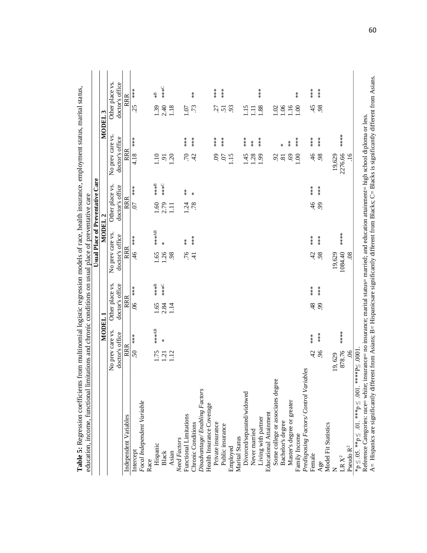| Independent Variables                                                                              |                                   |                           |             |                  |                    | Usual Place of Preventative | Care          |                       |                   |                 |                   |
|----------------------------------------------------------------------------------------------------|-----------------------------------|---------------------------|-------------|------------------|--------------------|-----------------------------|---------------|-----------------------|-------------------|-----------------|-------------------|
|                                                                                                    | MODEL 1                           |                           |             |                  | MODEL <sub>2</sub> |                             |               |                       |                   | ب<br>م<br>MODEL |                   |
|                                                                                                    | No prev care vs.                  | Other place vs.           |             | No prev care vs. |                    | Other place vs.             |               | No prev care vs.      |                   |                 | Other place vs.   |
|                                                                                                    | doctor's office                   | doctor's office           |             | doctor's office  |                    | doctor's office             |               | doctor's office       |                   |                 | doctor's office   |
|                                                                                                    | RRR                               | <b>RRR</b>                |             | RRR              |                    | RRR                         |               | RRR                   |                   |                 | RRR               |
| Intercept                                                                                          | ***<br>50                         | $\widetilde{\mathcal{S}}$ | ****        | $\frac{46}{5}$   | ***                | $\overline{0}$              | ****          | 4.18                  | ***               | 25              | ***               |
| Focal Independent Variable                                                                         |                                   |                           |             |                  |                    |                             |               |                       |                   |                 |                   |
| Race                                                                                               |                                   |                           |             |                  |                    |                             |               |                       |                   |                 |                   |
| Hispanic                                                                                           | ****B<br><b>1.75</b>              | 1.65                      | ***B        | 1.65             | **** <sup>8</sup>  | 1.60                        | $***B$        | 1.10                  |                   | 1.39            | $\frac{1}{2}$     |
| Black                                                                                              | $\pmb{\times}$<br>1.21            | 2.84                      | <b>C***</b> | 1.26             | $\star$            | 2.79                        | ***C          | $\frac{51}{1.20}$     |                   | 2.40            | ***C              |
| Asian                                                                                              | 1.12                              | 1.14                      |             | 98               |                    | $\Xi$                       |               |                       |                   | 1.18            |                   |
| Need Factors                                                                                       |                                   |                           |             |                  |                    |                             |               |                       |                   |                 |                   |
| Functional Limitations                                                                             |                                   |                           |             | .76              | $\stackrel{*}{*}$  | 1.24                        | $\frac{*}{*}$ | .70                   | ****              | 1.07            |                   |
| Chronic Conditions                                                                                 |                                   |                           |             | $\overline{4}$   | $***$              | .78                         | $\ast$        | 42                    | ***               | .73             | $\stackrel{*}{*}$ |
| Disadvantage/ Enabling Factors                                                                     |                                   |                           |             |                  |                    |                             |               |                       |                   |                 |                   |
| Health Insurance Coverage                                                                          |                                   |                           |             |                  |                    |                             |               |                       |                   |                 |                   |
| Private insurance                                                                                  |                                   |                           |             |                  |                    |                             |               | $\ddot{\mathrm{S}}$   | $**\ast$          | 27              | $***$             |
| Public insurance                                                                                   |                                   |                           |             |                  |                    |                             |               | $\overline{0}$        | $***$             | 5               | ****              |
| Employed                                                                                           |                                   |                           |             |                  |                    |                             |               | 1.15                  |                   | 93              |                   |
| Marital Status                                                                                     |                                   |                           |             |                  |                    |                             |               |                       |                   |                 |                   |
| Divorced/separated/widowed                                                                         |                                   |                           |             |                  |                    |                             |               | 1.45                  | ***               | 115             |                   |
| Never married                                                                                      |                                   |                           |             |                  |                    |                             |               | 1.28                  | $\stackrel{*}{*}$ | Ξ               |                   |
| Living with partner                                                                                |                                   |                           |             |                  |                    |                             |               |                       | ****              | 1.88            | ****              |
| <b>Educational Attainment</b>                                                                      |                                   |                           |             |                  |                    |                             |               |                       |                   |                 |                   |
| Some college or associates degree                                                                  |                                   |                           |             |                  |                    |                             |               | $\tilde{\mathcal{S}}$ |                   | 1.02            |                   |
| Bachelor's degree                                                                                  |                                   |                           |             |                  |                    |                             |               | $\overline{8}$        | ₩                 | 0.06            |                   |
| Master's degree or greater                                                                         |                                   |                           |             |                  |                    |                             |               | 69                    | $\stackrel{*}{*}$ | 1.16            |                   |
| Family Income                                                                                      |                                   |                           |             |                  |                    |                             |               | 0.001                 | ***               | 00.1            | $\stackrel{*}{*}$ |
| Predisposing Factors/Control Variables                                                             |                                   |                           |             |                  |                    |                             |               |                       |                   |                 |                   |
| Female                                                                                             | $* * * *$<br>$\ddot{c}$           | $\frac{8}{3}$             | $***$       | 42               |                    | $\frac{46}{5}$              |               | $\dot{9}$             | ***               | 45              | $***$             |
| Age                                                                                                | ****<br>$\widetilde{\mathcal{S}}$ | 99                        | ****        | 98               | ***                | 99                          | ****          | 98                    | ***               | 98              | ****              |
| Model Fit Statistics                                                                               |                                   |                           |             |                  |                    |                             |               |                       |                   |                 |                   |
|                                                                                                    | 19,629                            |                           |             | 19,629           |                    |                             |               | 19,629                |                   |                 |                   |
| $\mathop{\rm LR} X^2$                                                                              | *****<br>878.76                   |                           |             | 1084.40          | *****              |                             |               | 2276.66               | *****             |                 |                   |
| * $p \le 0.05$ . ** $p \le 0.01$ . *** $p \le 0.001$ . **** $P \le 0.001$<br>Pseudo $\mathbb{R}^2$ | 9Ò.                               |                           |             | .08              |                    |                             |               | $\overline{91}$       |                   |                 |                   |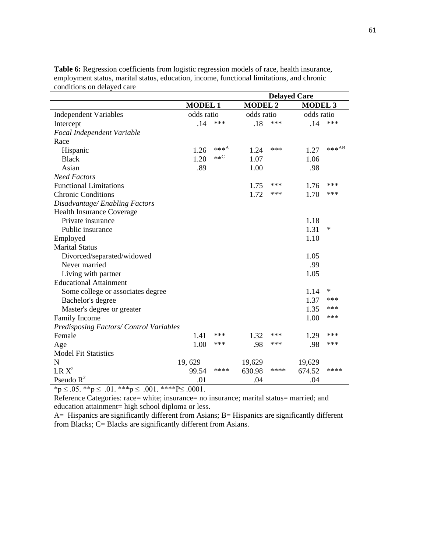|                                         |                |         |                | <b>Delayed Care</b> |                |         |
|-----------------------------------------|----------------|---------|----------------|---------------------|----------------|---------|
|                                         | <b>MODEL 1</b> |         | <b>MODEL 2</b> |                     | <b>MODEL 3</b> |         |
| <b>Independent Variables</b>            | odds ratio     |         | odds ratio     |                     | odds ratio     |         |
| Intercept                               | .14            | ***     | .18            | ***                 | .14            | ***     |
| Focal Independent Variable              |                |         |                |                     |                |         |
| Race                                    |                |         |                |                     |                |         |
| Hispanic                                | 1.26           | *** $A$ | 1.24           | ***                 | 1.27           | $***AB$ |
| <b>Black</b>                            | 1.20           | $**C$   | 1.07           |                     | 1.06           |         |
| Asian                                   | .89            |         | 1.00           |                     | .98            |         |
| <b>Need Factors</b>                     |                |         |                |                     |                |         |
| <b>Functional Limitations</b>           |                |         | 1.75           | ***                 | 1.76           | ***     |
| <b>Chronic Conditions</b>               |                |         | 1.72           | ***                 | 1.70           | ***     |
| Disadvantage/Enabling Factors           |                |         |                |                     |                |         |
| <b>Health Insurance Coverage</b>        |                |         |                |                     |                |         |
| Private insurance                       |                |         |                |                     | 1.18           |         |
| Public insurance                        |                |         |                |                     | 1.31           | $\ast$  |
| Employed                                |                |         |                |                     | 1.10           |         |
| <b>Marital Status</b>                   |                |         |                |                     |                |         |
| Divorced/separated/widowed              |                |         |                |                     | 1.05           |         |
| Never married                           |                |         |                |                     | .99            |         |
| Living with partner                     |                |         |                |                     | 1.05           |         |
| <b>Educational Attainment</b>           |                |         |                |                     |                |         |
| Some college or associates degree       |                |         |                |                     | 1.14           | ∗       |
| Bachelor's degree                       |                |         |                |                     | 1.37           | ***     |
| Master's degree or greater              |                |         |                |                     | 1.35           | ***     |
| Family Income                           |                |         |                |                     | 1.00           | ***     |
| Predisposing Factors/ Control Variables |                |         |                |                     |                |         |
| Female                                  | 1.41           | ***     | 1.32           | ***                 | 1.29           | ***     |
| Age                                     | 1.00           | ***     | .98            | ***                 | .98            | ***     |
| <b>Model Fit Statistics</b>             |                |         |                |                     |                |         |
| $\mathbf N$                             | 19,629         |         | 19,629         |                     | 19,629         |         |
| $LR X^2$                                | 99.54          | ****    | 630.98         | ****                | 674.52         | ****    |
| Pseudo $R^2$                            | .01            |         | .04            |                     | .04            |         |

**Table 6:** Regression coefficients from logistic regression models of race, health insurance, employment status, marital status, education, income, functional limitations, and chronic conditions on delayed care

 $*_{p} \leq .05.$  \*\* $p \leq .01.$  \*\*\* $p \leq .001.$  \*\*\*\* $P \leq .0001.$ 

Reference Categories: race= white; insurance= no insurance; marital status= married; and education attainment= high school diploma or less.

A= Hispanics are significantly different from Asians; B= Hispanics are significantly different from Blacks; C= Blacks are significantly different from Asians.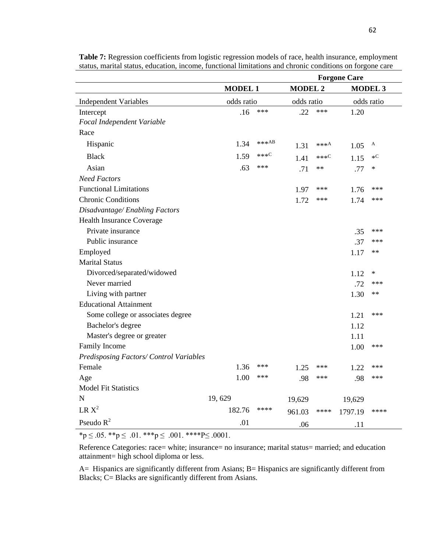|                                         |                |          |                |                  | <b>Forgone Care</b> |                 |
|-----------------------------------------|----------------|----------|----------------|------------------|---------------------|-----------------|
|                                         | <b>MODEL 1</b> |          | <b>MODEL 2</b> |                  |                     | <b>MODEL 3</b>  |
| <b>Independent Variables</b>            | odds ratio     |          | odds ratio     |                  |                     | odds ratio      |
| Intercept                               | .16            | $***$    | .22            | ***              | 1.20                |                 |
| Focal Independent Variable              |                |          |                |                  |                     |                 |
| Race                                    |                |          |                |                  |                     |                 |
| Hispanic                                | 1.34           | *** $AB$ | 1.31           | *** $A$          | 1.05                | A               |
| <b>Black</b>                            | 1.59           | $***C$   | 1.41           | *** <sup>C</sup> | 1.15                | $\ast \text{C}$ |
| Asian                                   | .63            | ***      | .71            | $**$             | .77                 | $\ast$          |
| <b>Need Factors</b>                     |                |          |                |                  |                     |                 |
| <b>Functional Limitations</b>           |                |          | 1.97           | ***              | 1.76                | ***             |
| <b>Chronic Conditions</b>               |                |          | 1.72           | ***              | 1.74                | $***$           |
| Disadvantage/Enabling Factors           |                |          |                |                  |                     |                 |
| Health Insurance Coverage               |                |          |                |                  |                     |                 |
| Private insurance                       |                |          |                |                  | .35                 | $***$           |
| Public insurance                        |                |          |                |                  | .37                 | ***             |
| Employed                                |                |          |                |                  | 1.17                | $***$           |
| <b>Marital Status</b>                   |                |          |                |                  |                     |                 |
| Divorced/separated/widowed              |                |          |                |                  | 1.12                | $\ast$          |
| Never married                           |                |          |                |                  | .72                 | ***             |
| Living with partner                     |                |          |                |                  | 1.30                | $***$           |
| <b>Educational Attainment</b>           |                |          |                |                  |                     |                 |
| Some college or associates degree       |                |          |                |                  | 1.21                | ***             |
| Bachelor's degree                       |                |          |                |                  | 1.12                |                 |
| Master's degree or greater              |                |          |                |                  | 1.11                |                 |
| Family Income                           |                |          |                |                  | 1.00                | $***$           |
| Predisposing Factors/ Control Variables |                |          |                |                  |                     |                 |
| Female                                  | 1.36           | ***      | 1.25           | ***              | 1.22                | ***             |
| Age                                     | 1.00           | ***      | .98            | ***              | .98                 | ***             |
| <b>Model Fit Statistics</b>             |                |          |                |                  |                     |                 |
| $\mathbf N$                             | 19,629         |          | 19,629         |                  | 19,629              |                 |
| $LR X^2$                                | 182.76         | ****     | 961.03         | ****             | 1797.19             | ****            |
| Pseudo $R^2$                            | .01            |          | .06            |                  | .11                 |                 |

**Table 7:** Regression coefficients from logistic regression models of race, health insurance, employment status, marital status, education, income, functional limitations and chronic conditions on forgone care

 $\overline{\ast p \leq .05}$ .  $\ast \ast p \leq .01$ .  $\ast \ast \ast p \leq .001$ .  $\ast \ast \ast \ast p \leq .0001$ .

Reference Categories: race= white; insurance= no insurance; marital status= married; and education attainment= high school diploma or less.

A= Hispanics are significantly different from Asians; B= Hispanics are significantly different from Blacks; C= Blacks are significantly different from Asians.